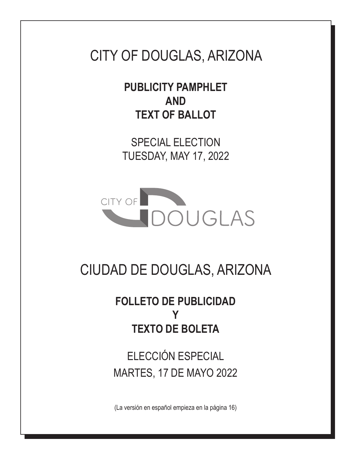# CITY OF DOUGLAS, ARIZONA

**PUBLICITY PAMPHLET AND TEXT OF BALLOT**

SPECIAL ELECTION TUESDAY, MAY 17, 2022



# CIUDAD DE DOUGLAS, ARIZONA

# **FOLLETO DE PUBLICIDAD Y TEXTO DE BOLETA**

ELECCIÓN ESPECIAL MARTES, 17 DE MAYO 2022

(La versión en español empieza en la página 16)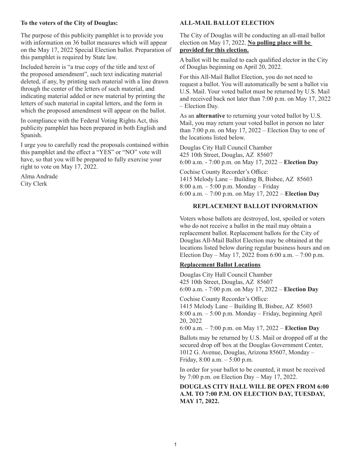#### **To the voters of the City of Douglas:**

The purpose of this publicity pamphlet is to provide you with information on 36 ballot measures which will appear on the May 17, 2022 Special Election ballot. Preparation of this pamphlet is required by State law.

Included herein is "a true copy of the title and text of the proposed amendment", such text indicating material deleted, if any, by printing such material with a line drawn through the center of the letters of such material, and indicating material added or new material by printing the letters of such material in capital letters, and the form in which the proposed amendment will appear on the ballot.

In compliance with the Federal Voting Rights Act, this publicity pamphlet has been prepared in both English and Spanish.

I urge you to carefully read the proposals contained within this pamphlet and the effect a "YES" or "NO" vote will have, so that you will be prepared to fully exercise your right to vote on May 17, 2022.

Alma Andrade City Clerk

#### **ALL-MAIL BALLOT ELECTION**

The City of Douglas will be conducting an all-mail ballot election on May 17, 2022. **No polling place will be provided for this election.**

A ballot will be mailed to each qualified elector in the City of Douglas beginning on April 20, 2022.

For this All-Mail Ballot Election, you do not need to request a ballot. You will automatically be sent a ballot via U.S. Mail. Your voted ballot must be returned by U.S. Mail and received back not later than 7:00 p.m. on May 17, 2022 – Election Day.

As an **alternative** to returning your voted ballot by U.S. Mail, you may return your voted ballot in person no later than  $7:00$  p.m. on May 17,  $2022$  – Election Day to one of the locations listed below.

Douglas City Hall Council Chamber 425 10th Street, Douglas, AZ 85607 6:00 a.m. - 7:00 p.m. on May 17, 2022 – **Election Day**

Cochise County Recorder's Office: 1415 Melody Lane – Building B, Bisbee, AZ 85603 8:00 a.m. – 5:00 p.m. Monday – Friday 6:00 a.m. – 7:00 p.m. on May 17, 2022 – **Election Day**

#### **REPLACEMENT BALLOT INFORMATION**

Voters whose ballots are destroyed, lost, spoiled or voters who do not receive a ballot in the mail may obtain a replacement ballot. Replacement ballots for the City of Douglas All-Mail Ballot Election may be obtained at the locations listed below during regular business hours and on Election Day – May 17, 2022 from 6:00 a.m. – 7:00 p.m.

#### **Replacement Ballot Locations**

Douglas City Hall Council Chamber 425 10th Street, Douglas, AZ 85607 6:00 a.m. - 7:00 p.m. on May 17, 2022 – **Election Day**

Cochise County Recorder's Office: 1415 Melody Lane – Building B, Bisbee, AZ 85603 8:00 a.m. – 5:00 p.m. Monday – Friday, beginning April 20, 2022

6:00 a.m. – 7:00 p.m. on May 17, 2022 – **Election Day**

Ballots may be returned by U.S. Mail or dropped off at the secured drop off box at the Douglas Government Center, 1012 G. Avenue, Douglas, Arizona 85607, Monday – Friday, 8:00 a.m. – 5:00 p.m.

In order for your ballot to be counted, it must be received by 7:00 p.m. on Election Day – May 17, 2022.

**DOUGLAS CITY HALL WILL BE OPEN FROM 6:00 A.M. TO 7:00 P.M. ON ELECTION DAY, TUESDAY, MAY 17, 2022.**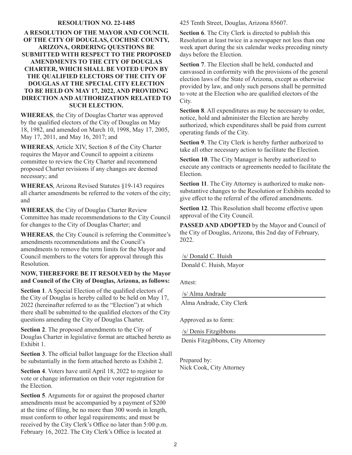#### **RESOLUTION NO. 22-1485**

## **A RESOLUTION OF THE MAYOR AND COUNCIL OF THE CITY OF DOUGLAS, COCHISE COUNTY, ARIZONA, ORDERING QUESTIONS BE SUBMITTED WITH RESPECT TO THE PROPOSED AMENDMENTS TO THE CITY OF DOUGLAS CHARTER, WHICH SHALL BE VOTED UPON BY THE QUALIFIED ELECTORS OF THE CITY OF DOUGLAS AT THE SPECIAL CITY ELECTION TO BE HELD ON MAY 17, 2022, AND PROVIDING DIRECTION AND AUTHORIZATION RELATED TO SUCH ELECTION.**

**WHEREAS**, the City of Douglas Charter was approved by the qualified electors of the City of Douglas on May 18, 1982, and amended on March 10, 1998, May 17, 2005, May 17, 2011, and May 16, 2017; and

**WHEREAS**, Article XIV, Section 8 of the City Charter requires the Mayor and Council to appoint a citizens committee to review the City Charter and recommend proposed Charter revisions if any changes are deemed necessary; and

**WHEREAS**, Arizona Revised Statutes §19-143 requires all charter amendments be referred to the voters of the city; and

**WHEREAS**, the City of Douglas Charter Review Committee has made recommendations to the City Council for changes to the City of Douglas Charter; and

**WHEREAS**, the City Council is referring the Committee's amendments recommendations and the Council's amendments to remove the term limits for the Mayor and Council members to the voters for approval through this Resolution.

## **NOW, THEREFORE BE IT RESOLVED by the Mayor and Council of the City of Douglas, Arizona, as follows:**

**Section 1**. A Special Election of the qualified electors of the City of Douglas is hereby called to be held on May 17, 2022 (hereinafter referred to as the "Election") at which there shall be submitted to the qualified electors of the City questions amending the City of Douglas Charter.

**Section 2**. The proposed amendments to the City of Douglas Charter in legislative format are attached hereto as Exhibit 1.

**Section 3**. The official ballot language for the Election shall be substantially in the form attached hereto as Exhibit 2.

**Section 4**. Voters have until April 18, 2022 to register to vote or change information on their voter registration for the Election.

**Section 5**. Arguments for or against the proposed charter amendments must be accompanied by a payment of \$200 at the time of filing, be no more than 300 words in length, must conform to other legal requirements; and must be received by the City Clerk's Office no later than 5:00 p.m. February 16, 2022. The City Clerk's Office is located at

425 Tenth Street, Douglas, Arizona 85607.

**Section 6**. The City Clerk is directed to publish this Resolution at least twice in a newspaper not less than one week apart during the six calendar weeks preceding ninety days before the Election.

**Section 7**. The Election shall be held, conducted and canvassed in conformity with the provisions of the general election laws of the State of Arizona, except as otherwise provided by law, and only such persons shall be permitted to vote at the Election who are qualified electors of the City.

**Section 8**. All expenditures as may be necessary to order, notice, hold and administer the Election are hereby authorized, which expenditures shall be paid from current operating funds of the City.

**Section 9**. The City Clerk is hereby further authorized to take all other necessary action to facilitate the Election.

**Section 10**. The City Manager is hereby authorized to execute any contracts or agreements needed to facilitate the Election.

**Section 11**. The City Attorney is authorized to make nonsubstantive changes to the Resolution or Exhibits needed to give effect to the referral of the offered amendments.

**Section 12**. This Resolution shall become effective upon approval of the City Council.

**PASSED AND ADOPTED** by the Mayor and Council of the City of Douglas, Arizona, this 2nd day of February, 2022.

/s/ Donald C. Huish

Donald C. Huish, Mayor

Attest:

/s/ Alma Andrade

Alma Andrade, City Clerk

Approved as to form:

/s/ Denis Fitzgibbons

Denis Fitzgibbons, City Attorney

Prepared by: Nick Cook, City Attorney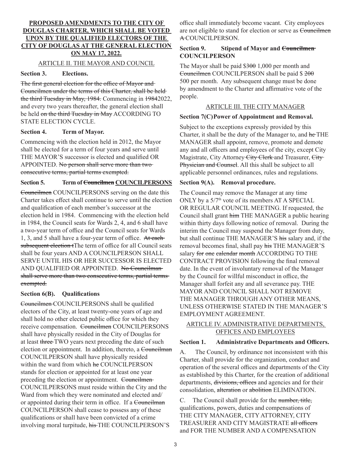# **PROPOSED AMENDMENTS TO THE CITY OF DOUGLAS CHARTER, WHICH SHALL BE VOTED UPON BY THE QUALIFIED ELECTORS OF THE CITY OF DOUGLAS AT THE GENERAL ELECTION ON MAY 17, 2022.**

## ARTICLE II. THE MAYOR AND COUNCIL

## **Section 3. Elections.**

The first general election for the office of Mayor and Councilmen under the terms of this Charter, shall be held the third Tuesday in May, 1984. Commencing in 19842022, and every two years thereafter, the general election shall be held on the third Tuesday in May ACCORDING TO STATE ELECTION CYCLE.

## **Section 4. Term of Mayor.**

Commencing with the election held in 2012, the Mayor shall be elected for a term of four years and serve until THE MAYOR'S successor is elected and qualified OR APPOINTED. No person shall serve more than two consecutive terms, partial terms exempted.

## **Section 5. Term of Councilmen COUNCILPERSONS**

Councilmen COUNCILPERSONS serving on the date this Charter takes effect shall continue to serve until the election and qualification of each member's successor at the election held in 1984. Commencing with the election held in 1984, the Council seats for Wards 2, 4, and 6 shall have a two-year term of office and the Council seats for Wards 1, 3, and 5 shall have a four-year term of office. At eachsubsequent election tThe term of office for all Council seats shall be four years AND A COUNCILPERSON SHALL SERVE UNTIL HIS OR HER SUCCESSOR IS ELECTED AND QUALIFIED OR APPOINTED. No Councilmanshall serve more than two consecutive terms, partial terms exempted.

# **Section 6(B). Qualifications**

Councilmen COUNCILPERSONS shall be qualified electors of the City, at least twenty-one years of age and shall hold no other elected public office for which they receive compensation. Councilmen COUNCILPERSONS shall have physically resided in the City of Douglas for at least three TWO years next preceding the date of such election or appointment. In addition, thereto, a Councilman COUNCILPERSON shall have physically resided within the ward from which he COUNCILPERSON stands for election or appointed for at least one year preceding the election or appointment. Councilmen COUNCILPERSONS must reside within the City and the Ward from which they were nominated and elected and/ or appointed during their term in office. If a Councilman COUNCILPERSON shall cease to possess any of these qualifications or shall have been convicted of a crime involving moral turpitude, his THE COUNCILPERSON'S

office shall immediately become vacant. City employees are not eligible to stand for election or serve as Councilmen A COUNCILPERSON.

## **Section 9. Stipend of Mayor and Councilmen COUNCILPERSON**

The Mayor shall be paid \$300 1,000 per month and Councilmen COUNCILPERSON shall be paid \$ 200 500 per month. Any subsequent change must be done by amendment to the Charter and affirmative vote of the people.

## ARTICLE III. THE CITY MANAGER

## **Section 7(C)Power of Appointment and Removal.**

Subject to the exceptions expressly provided by this Charter, it shall be the duty of the Manager to, and he THE MANAGER shall appoint, remove, promote and demote any and all officers and employees of the city, except City Magistrate, City Attorney City Clerk and Treasurer, City Physician and Counsel. All this shall be subject to all applicable personnel ordinances, rules and regulations.

## **Section 9(A). Removal procedure.**

The Council may remove the Manager at any time ONLY by a 5/7<sup>th</sup> vote of its members AT A SPECIAL OR REGULAR COUNCIL MEETING. If requested, the Council shall grant him THE MANAGER a public hearing within thirty days following notice of removal. During the interim the Council may suspend the Manager from duty, but shall continue THE MANAGER'S his salary and, if the removal becomes final, shall pay his THE MANAGER'S salary for one calendar month ACCORDING TO THE CONTRACT PROVISION following the final removal date. In the event of involuntary removal of the Manager by the Council for willful misconduct in office, the Manager shall forfeit any and all severance pay. THE MAYOR AND COUNCIL SHALL NOT REMOVE THE MANAGER THROUGH ANY OTHER MEANS, UNLESS OTHERWISE STATED IN THE MANAGER'S EMPLOYMENT AGREEMENT.

# ARTICLE IV. ADMINISTRATIVE DEPARTMENTS, OFFICES AND EMPLOYEES

## **Section 1. Administrative Departments and Officers.**

A. The Council, by ordinance not inconsistent with this Charter, shall provide for the organization, conduct and operation of the several offices and departments of the City as established by this Charter, for the creation of additional departments, divisions, offices and agencies and for their consolidation, alteration or abolition ELIMINATION.

C. The Council shall provide for the number, title, qualifications, powers, duties and compensations of THE CITY MANAGER, CITY ATTORNEY, CITY TREASURER AND CITY MAGISTRATE all officers and FOR THE NUMBER AND A COMPENSATION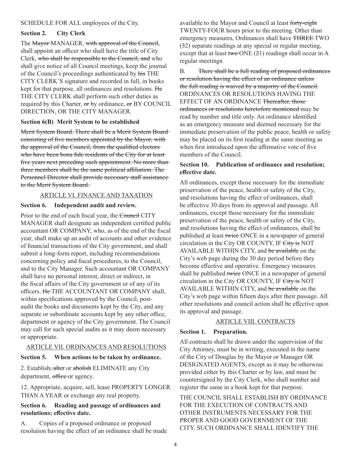## SCHEDULE FOR ALL employees of the City.

# **Section 2. City Clerk**

The Mayor MANAGER, with approval of the Council, shall appoint an officer who shall have the title of City Clerk, who shall be responsible to the Council, and who shall give notice of all Council meetings, keep the journal of the Council's proceedings authenticated by his THE CITY CLERK'S signature and recorded in full, in books kept for that purpose, all ordinances and resolutions. He THE CITY CLERK shall perform such other duties as required by this Charter, or by ordinance, or BY COUNCIL DIRECTION, OR THE CITY MANAGER.

## **Section 6(B) Merit System to be established**

Merit System Board. There shall be a Merit System Board consisting of five members appointed by the Mayor, with the approval of the Council, from the qualified electors who have been bona fide residents of the City for at least five years next preceding such appointment. No more than three members shall be the same political affiliation. The Personnel Director shall provide necessary staff assistance to the Merit System Board.

## ARTICLE VI. FINANCE AND TAXATION

# **Section 6. Independent audit and review.**

Prior to the end of each fiscal year, the Council CITY MANAGER shall designate an independent certified public accountant OR COMPANY, who, as of the end of the fiscal year, shall make up an audit of accounts and other evidence of financial transactions of the City government, and shall submit a long-form report, including recommendations concerning policy and fiscal procedures, to the Council, and to the City Manager. Such accountant OR COMPANY shall have no personal interest, direct or indirect, in the fiscal affairs of the City government or of any of its officers. He THE ACCOUNTANT OR COMPANY shall, within specifications approved by the Council, postaudit the books and documents kept by the City, and any separate or subordinate accounts kept by any other office, department or agency of the City government. The Council may call for such special audits as it may deem necessary or appropriate.

## ARTICLE VII. ORDINANCES AND RESOLUTIONS

# **Section 5. When actions to be taken by ordinance.**

2. Establish<del>, alter</del> or abolish ELIMINATE any City department, office or agency.

12. Appropriate, acquire, sell, lease PROPERTY LONGER THAN A YEAR or exchange any real property.

# **Section 6. Reading and passage of ordinances and resolutions; effective date.**

A. Copies of a proposed ordinance or proposed resolution having the effect of an ordinance shall be made available to the Mayor and Council at least forty-eight TWENTY-FOUR hours prior to the meeting. Other than emergency measures, Ordinances shall have THREE TWO (32) separate readings at any special or regular meeting, except that at least two ONE  $(21)$  readings shall occur in A regular meetings.

B. There shall be a full reading of proposed ordinances or resolution having the effect of an ordinance unless the full reading is waived by a majority of the Council. ORDINANCES OR RESOLUTIONS HAVING THE EFFECT OF AN ORDINANCE Thereafter, those ordinances or resolutions heretofore mentioned may be read by number and title only. An ordinance identified as an emergency measure and deemed necessary for the immediate preservation of the public peace, health or safety may be placed on its first reading at the same meeting as when first introduced upon the affirmative vote of five members of the Council.

# **Section 10. Publication of ordinance and resolution; effective date.**

All ordinances, except those necessary for the immediate preservation of the peace, health or safety of the City, and resolutions having the effect of ordinances, shall be effective 30 days from its approval and passage. All ordinances, except those necessary for the immediate preservation of the peace, health or safety of the City, and resolutions having the effect of ordinances, shall be published at least twice ONCE in a newspaper of general circulation in the City OR COUNTY, IF City is NOT AVAILABLE WITHIN CITY, and be available on the City's web page during the 30 day period before they become effective and operative. Emergency measures shall be published twice ONCE in a newspaper of general circulation in the City OR COUNTY, IF City is NOT AVAILABLE WITHIN CITY, and be available on the City's web page within fifteen days after their passage. All other resolutions and council action shall be effective upon its approval and passage.

# ARTICLE VIII. CONTRACTS

## **Section 1. Preparation.**

All contracts shall be drawn under the supervision of the City Attorney, must be in writing, executed in the name of the City of Douglas by the Mayor or Manager OR DESIGNATED AGENTS, except as it may be otherwise provided either by this Charter or by law, and must be countersigned by the City Clerk, who shall number and register the same in a book kept for that purpose.

THE COUNCIL SHALL ESTABLISH BY ORDINANCE FOR THE EXECUTION OF CONTRACTS AND OTHER INSTRUMENTS NECESSARY FOR THE PROPER AND GOOD GOVERNMENT OF THE CITY. SUCH ORDINANCE SHALL IDENTIFY THE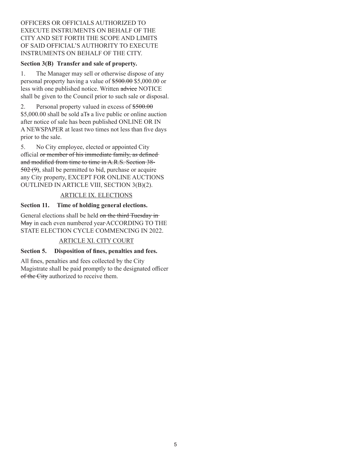# OFFICERS OR OFFICIALS AUTHORIZED TO EXECUTE INSTRUMENTS ON BEHALF OF THE CITY AND SET FORTH THE SCOPE AND LIMITS OF SAID OFFICIAL'S AUTHORITY TO EXECUTE INSTRUMENTS ON BEHALF OF THE CITY.

## **Section 3(B) Transfer and sale of property.**

1. The Manager may sell or otherwise dispose of any personal property having a value of  $$500.00$  \$5,000.00 or less with one published notice. Written advice NOTICE shall be given to the Council prior to such sale or disposal.

2. Personal property valued in excess of \$500.00 \$5,000.00 shall be sold aTs a live public or online auction after notice of sale has been published ONLINE OR IN A NEWSPAPER at least two times not less than five days prior to the sale.

5. No City employee, elected or appointed City official or member of his immediate family, as defined and modified from time to time in A.R.S. Section 38-  $502 (9)$ , shall be permitted to bid, purchase or acquire any City property, EXCEPT FOR ONLINE AUCTIONS OUTLINED IN ARTICLE VIII, SECTION 3(B)(2).

## ARTICLE IX. ELECTIONS

# **Section 11. Time of holding general elections.**

General elections shall be held on the third Tuesday in May in each even numbered year ACCORDING TO THE STATE ELECTION CYCLE COMMENCING IN 2022.

# ARTICLE XI. CITY COURT

## **Section 5. Disposition of fines, penalties and fees.**

All fines, penalties and fees collected by the City Magistrate shall be paid promptly to the designated officer of the City authorized to receive them.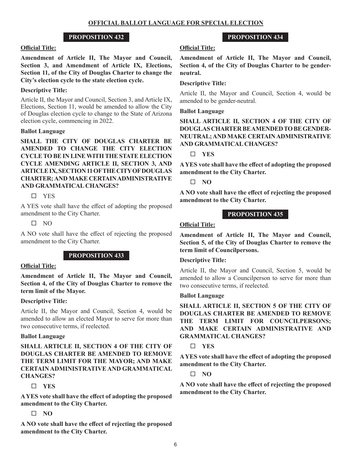#### **Official Title:**

**Amendment of Article II, The Mayor and Council, Section 3, and Amendment of Article IX, Elections, Section 11, of the City of Douglas Charter to change the City's election cycle to the state election cycle.** 

## **Descriptive Title:**

Article II, the Mayor and Council, Section 3, and Article IX, Elections, Section 11, would be amended to allow the City of Douglas election cycle to change to the State of Arizona election cycle, commencing in 2022.

#### **Ballot Language**

**SHALL THE CITY OF DOUGLAS CHARTER BE AMENDED TO CHANGE THE CITY ELECTION CYCLE TO BE IN LINE WITH THE STATE ELECTION CYCLE AMENDING ARTICLE II, SECTION 3, AND ARTICLE IX, SECTION 11 OF THE CITY OF DOUGLAS CHARTER;AND MAKE CERTAIN ADMINISTRATIVE AND GRAMMATICAL CHANGES?**

## $\square$  YES

A YES vote shall have the effect of adopting the proposed amendment to the City Charter.

 $\Box$  NO

A NO vote shall have the effect of rejecting the proposed amendment to the City Charter.

# **PROPOSITION 433**

#### **Official Title:**

**Amendment of Article II, The Mayor and Council, Section 4, of the City of Douglas Charter to remove the term limit of the Mayor.** 

## **Descriptive Title:**

Article II, the Mayor and Council, Section 4, would be amended to allow an elected Mayor to serve for more than two consecutive terms, if reelected.

## **Ballot Language**

**SHALL ARTICLE II, SECTION 4 OF THE CITY OF DOUGLAS CHARTER BE AMENDED TO REMOVE THE TERM LIMIT FOR THE MAYOR; AND MAKE CERTAIN ADMINISTRATIVE AND GRAMMATICAL CHANGES?**

# **YES**

**A YES vote shall have the effect of adopting the proposed amendment to the City Charter.**

# **NO**

**A NO vote shall have the effect of rejecting the proposed amendment to the City Charter.**

# **PROPOSITION 434**

## **Official Title:**

**Amendment of Article II, The Mayor and Council, Section 4, of the City of Douglas Charter to be genderneutral.**

#### **Descriptive Title:**

Article II, the Mayor and Council, Section 4, would be amended to be gender-neutral.

#### **Ballot Language**

**SHALL ARTICLE II, SECTION 4 OF THE CITY OF DOUGLAS CHARTER BE AMENDED TO BE GENDER-NEUTRAL; AND MAKE CERTAIN ADMINISTRATIVE AND GRAMMATICAL CHANGES?** 

**YES**

**A YES vote shall have the effect of adopting the proposed amendment to the City Charter.**

**NO**

**A NO vote shall have the effect of rejecting the proposed amendment to the City Charter.**

## **PROPOSITION 435**

## **Official Title:**

**Amendment of Article II, The Mayor and Council, Section 5, of the City of Douglas Charter to remove the term limit of Councilpersons.**

#### **Descriptive Title:**

Article II, the Mayor and Council, Section 5, would be amended to allow a Councilperson to serve for more than two consecutive terms, if reelected.

#### **Ballot Language**

**SHALL ARTICLE II, SECTION 5 OF THE CITY OF DOUGLAS CHARTER BE AMENDED TO REMOVE THE TERM LIMIT FOR COUNCILPERSONS; AND MAKE CERTAIN ADMINISTRATIVE AND GRAMMATICAL CHANGES?** 

**YES**

**A YES vote shall have the effect of adopting the proposed amendment to the City Charter.**

**NO**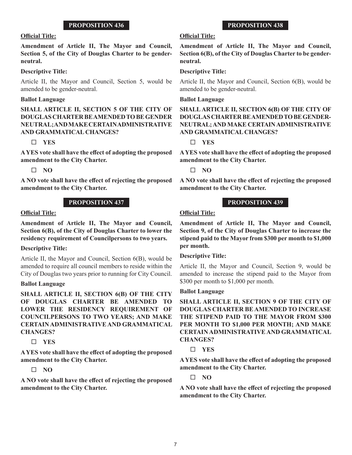#### **Official Title:**

**Amendment of Article II, The Mayor and Council, Section 5, of the City of Douglas Charter to be genderneutral.**

#### **Descriptive Title:**

Article II, the Mayor and Council, Section 5, would be amended to be gender-neutral.

#### **Ballot Language**

**SHALL ARTICLE II, SECTION 5 OF THE CITY OF DOUGLAS CHARTER BE AMENDED TO BE GENDER NEUTRAL; AND MAKE CERTAIN ADMINISTRATIVE AND GRAMMATICAL CHANGES?** 

#### **YES**

**A YES vote shall have the effect of adopting the proposed amendment to the City Charter.**

**NO**

**A NO vote shall have the effect of rejecting the proposed amendment to the City Charter.**

## **PROPOSITION 437**

#### **Official Title:**

**Amendment of Article II, The Mayor and Council, Section 6(B), of the City of Douglas Charter to lower the residency requirement of Councilpersons to two years.** 

## **Descriptive Title:**

Article II, the Mayor and Council, Section 6(B), would be amended to require all council members to reside within the City of Douglas two years prior to running for City Council.

#### **Ballot Language**

**SHALL ARTICLE II, SECTION 6(B) OF THE CITY OF DOUGLAS CHARTER BE AMENDED TO LOWER THE RESIDENCY REQUIREMENT OF COUNCILPERSONS TO TWO YEARS; AND MAKE CERTAIN ADMINISTRATIVE AND GRAMMATICAL CHANGES?** 

## **YES**

**A YES vote shall have the effect of adopting the proposed amendment to the City Charter.**

## **NO**

**A NO vote shall have the effect of rejecting the proposed amendment to the City Charter.**

# **PROPOSITION 438**

# **Official Title:**

**Amendment of Article II, The Mayor and Council, Section 6(B), of the City of Douglas Charter to be genderneutral.**

#### **Descriptive Title:**

Article II, the Mayor and Council, Section 6(B), would be amended to be gender-neutral.

## **Ballot Language**

**SHALL ARTICLE II, SECTION 6(B) OF THE CITY OF DOUGLAS CHARTER BE AMENDED TO BE GENDER-NEUTRAL; AND MAKE CERTAIN ADMINISTRATIVE AND GRAMMATICAL CHANGES?** 

**YES**

**A YES vote shall have the effect of adopting the proposed amendment to the City Charter.**

**NO**

**A NO vote shall have the effect of rejecting the proposed amendment to the City Charter.**

## **PROPOSITION 439**

## **Official Title:**

**Amendment of Article II, The Mayor and Council, Section 9, of the City of Douglas Charter to increase the stipend paid to the Mayor from \$300 per month to \$1,000 per month.**

#### **Descriptive Title:**

Article II, the Mayor and Council, Section 9, would be amended to increase the stipend paid to the Mayor from \$300 per month to \$1,000 per month.

#### **Ballot Language**

**SHALL ARTICLE II, SECTION 9 OF THE CITY OF DOUGLAS CHARTER BE AMENDED TO INCREASE THE STIPEND PAID TO THE MAYOR FROM \$300 PER MONTH TO \$1,000 PER MONTH; AND MAKE CERTAIN ADMINISTRATIVE AND GRAMMATICAL CHANGES?** 

## **YES**

**A YES vote shall have the effect of adopting the proposed amendment to the City Charter.**

 $\Box$  NO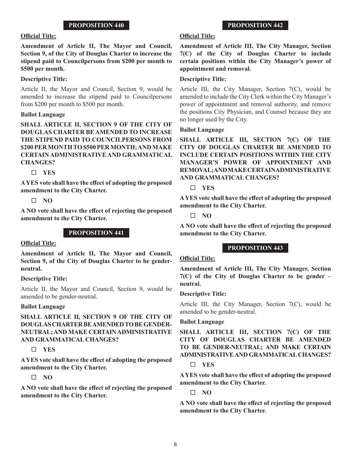# **Official Title:**

**Amendment of Article II, The Mayor and Council, Section 9, of the City of Douglas Charter to increase the stipend paid to Councilpersons from \$200 per month to \$500 per month.**

## **Descriptive Title:**

Article II, the Mayor and Council, Section 9, would be amended to increase the stipend paid to Councilpersons from \$200 per month to \$500 per month.

## **Ballot Language**

**SHALL ARTICLE II, SECTION 9 OF THE CITY OF DOUGLAS CHARTER BE AMENDED TO INCREASE THE STIPEND PAID TO COUNCILPERSONS FROM \$200 PER MONTH TO \$500 PER MONTH; AND MAKE CERTAIN ADMINISTRATIVE AND GRAMMATICAL CHANGES?** 

**YES**

**A YES vote shall have the effect of adopting the proposed amendment to the City Charter.**

**NO**

**A NO vote shall have the effect of rejecting the proposed amendment to the City Charter.**

## **PROPOSITION 441**

## **Official Title:**

**Amendment of Article II, The Mayor and Council, Section 9, of the City of Douglas Charter to be genderneutral.**

## **Descriptive Title:**

Article II, the Mayor and Council, Section 9, would be amended to be gender-neutral.

## **Ballot Language**

**SHALL ARTICLE II, SECTION 9 OF THE CITY OF DOUGLAS CHARTER BE AMENDED TO BE GENDER-NEUTRAL; AND MAKE CERTAIN ADMINISTRATIVE AND GRAMMATICAL CHANGES?** 

# **YES**

**A YES vote shall have the effect of adopting the proposed amendment to the City Charter.**

# $\Box$  NO

**A NO vote shall have the effect of rejecting the proposed amendment to the City Charter.**

# **PROPOSITION 442**

# **Official Title:**

**Amendment of Article III, The City Manager, Section 7(C) of the City of Douglas Charter to include certain positions within the City Manager's power of appointment and removal.**

# **Descriptive Title:**

Article III, the City Manager, Section 7(C), would be amended to include the City Clerk within the City Manager's power of appointment and removal authority, and remove the positions City Physician, and Counsel because they are no longer used by the City.

## **Ballot Language**

**SHALL ARTICLE III, SECTION 7(C) OF THE CITY OF DOUGLAS CHARTER BE AMENDED TO INCLUDE CERTAIN POSITIONS WITHIN THE CITY MANAGER'S POWER OF APPOINTMENT AND REMOVAL; AND MAKE CERTAIN ADMINISTRATIVE AND GRAMMATICAL CHANGES?** 

## **YES**

**A YES vote shall have the effect of adopting the proposed amendment to the City Charter.**

**NO**

**A NO vote shall have the effect of rejecting the proposed amendment to the City Charter.**

# **PROPOSITION 443**

## **Official Title:**

**Amendment of Article III, The City Manager, Section 7(C) of the City of Douglas Charter to be gender – neutral.** 

## **Descriptive Title:**

Article III, the City Manager, Section 7(C), would be amended to be gender-neutral.

## **Ballot Language**

**SHALL ARTICLE III, SECTION 7(C) OF THE CITY OF DOUGLAS CHARTER BE AMENDED TO BE GENDER-NEUTRAL; AND MAKE CERTAIN ADMINISTRATIVE AND GRAMMATICAL CHANGES?**

## **YES**

**A YES vote shall have the effect of adopting the proposed amendment to the City Charter.**

**NO**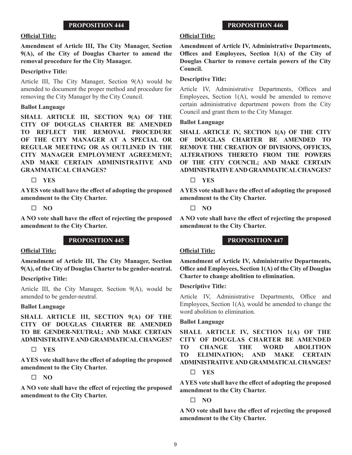#### **Official Title:**

**Amendment of Article III, The City Manager, Section 9(A), of the City of Douglas Charter to amend the removal procedure for the City Manager.**

#### **Descriptive Title:**

Article III, The City Manager, Section 9(A) would be amended to document the proper method and procedure for removing the City Manager by the City Council.

#### **Ballot Language**

**SHALL ARTICLE III, SECTION 9(A) OF THE CITY OF DOUGLAS CHARTER BE AMENDED TO REFLECT THE REMOVAL PROCEDURE OF THE CITY MANAGER AT A SPECIAL OR REGULAR MEETING OR AS OUTLINED IN THE CITY MANAGER EMPLOYMENT AGREEMENT; AND MAKE CERTAIN ADMINISTRATIVE AND GRAMMATICAL CHANGES?** 

**YES**

**A YES vote shall have the effect of adopting the proposed amendment to the City Charter.**

#### **NO**

**A NO vote shall have the effect of rejecting the proposed amendment to the City Charter.**

## **PROPOSITION 445**

#### **Official Title:**

**Amendment of Article III, The City Manager, Section 9(A), of the City of Douglas Charter to be gender-neutral.**

## **Descriptive Title:**

Article III, the City Manager, Section 9(A), would be amended to be gender-neutral.

## **Ballot Language**

**SHALL ARTICLE III, SECTION 9(A) OF THE CITY OF DOUGLAS CHARTER BE AMENDED TO BE GENDER-NEUTRAL; AND MAKE CERTAIN ADMINISTRATIVE AND GRAMMATICAL CHANGES?** 

## **YES**

**A YES vote shall have the effect of adopting the proposed amendment to the City Charter.**

## $\Box$  NO

**A NO vote shall have the effect of rejecting the proposed amendment to the City Charter.**

#### **Official Title:**

**Amendment of Article IV, Administrative Departments, Offices and Employees, Section 1(A) of the City of Douglas Charter to remove certain powers of the City Council.**

#### **Descriptive Title:**

Article IV, Administrative Departments, Offices and Employees, Section 1(A), would be amended to remove certain administrative department powers from the City Council and grant them to the City Manager.

#### **Ballot Language**

**SHALL ARTICLE IV, SECTION 1(A) OF THE CITY OF DOUGLAS CHARTER BE AMENDED TO REMOVE THE CREATION OF DIVISIONS, OFFICES, ALTERATIONS THERETO FROM THE POWERS OF THE CITY COUNCIL; AND MAKE CERTAIN ADMINISTRATIVE AND GRAMMATICAL CHANGES?** 

#### **YES**

**A YES vote shall have the effect of adopting the proposed amendment to the City Charter.**

**NO**

**A NO vote shall have the effect of rejecting the proposed amendment to the City Charter.**

## **PROPOSITION 447**

## **Official Title:**

**Amendment of Article IV, Administrative Departments, Office and Employees, Section 1(A) of the City of Douglas Charter to change abolition to elimination.**

#### **Descriptive Title:**

Article IV, Administrative Departments, Office and Employees, Section 1(A), would be amended to change the word abolition to elimination.

## **Ballot Language**

**SHALL ARTICLE IV, SECTION 1(A) OF THE CITY OF DOUGLAS CHARTER BE AMENDED TO CHANGE THE WORD ABOLITION TO ELIMINATION; AND MAKE CERTAIN ADMINISTRATIVE AND GRAMMATICAL CHANGES?** 

#### **YES**

**A YES vote shall have the effect of adopting the proposed amendment to the City Charter.**

**NO**

**A NO vote shall have the effect of rejecting the proposed amendment to the City Charter.**

## **PROPOSITION 446**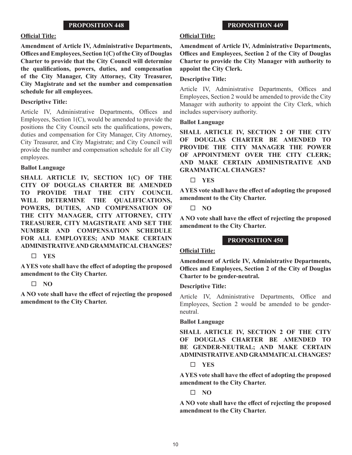#### **Official Title:**

**Amendment of Article IV, Administrative Departments, Offices and Employees, Section 1(C) of the City of Douglas Charter to provide that the City Council will determine the qualifications, powers, duties, and compensation of the City Manager, City Attorney, City Treasurer, City Magistrate and set the number and compensation schedule for all employees.**

#### **Descriptive Title:**

Article IV, Administrative Departments, Offices and Employees, Section 1(C), would be amended to provide the positions the City Council sets the qualifications, powers, duties and compensation for City Manager, City Attorney, City Treasurer, and City Magistrate; and City Council will provide the number and compensation schedule for all City employees.

#### **Ballot Language**

**SHALL ARTICLE IV, SECTION 1(C) OF THE CITY OF DOUGLAS CHARTER BE AMENDED TO PROVIDE THAT THE CITY COUNCIL**  WILL DETERMINE THE OUALIFICATIONS. **POWERS, DUTIES, AND COMPENSATION OF THE CITY MANAGER, CITY ATTORNEY, CITY TREASURER, CITY MAGISTRATE AND SET THE NUMBER AND COMPENSATION SCHEDULE FOR ALL EMPLOYEES; AND MAKE CERTAIN ADMINISTRATIVE AND GRAMMATICAL CHANGES?** 

## **YES**

**A YES vote shall have the effect of adopting the proposed amendment to the City Charter.**

## **NO**

**A NO vote shall have the effect of rejecting the proposed amendment to the City Charter.**

#### **Official Title:**

**Amendment of Article IV, Administrative Departments, Offices and Employees, Section 2 of the City of Douglas Charter to provide the City Manager with authority to appoint the City Clerk.**

# **Descriptive Title:**

Article IV, Administrative Departments, Offices and Employees, Section 2 would be amended to provide the City Manager with authority to appoint the City Clerk, which includes supervisory authority.

#### **Ballot Language**

**SHALL ARTICLE IV, SECTION 2 OF THE CITY OF DOUGLAS CHARTER BE AMENDED TO PROVIDE THE CITY MANAGER THE POWER OF APPOINTMENT OVER THE CITY CLERK; AND MAKE CERTAIN ADMINISTRATIVE AND GRAMMATICAL CHANGES?** 

**YES**

**A YES vote shall have the effect of adopting the proposed amendment to the City Charter.**

**NO**

**A NO vote shall have the effect of rejecting the proposed amendment to the City Charter.**

## **PROPOSITION 450**

## **Official Title:**

**Amendment of Article IV, Administrative Departments, Offices and Employees, Section 2 of the City of Douglas Charter to be gender-neutral.**

#### **Descriptive Title:**

Article IV, Administrative Departments, Office and Employees, Section 2 would be amended to be genderneutral.

## **Ballot Language**

**SHALL ARTICLE IV, SECTION 2 OF THE CITY OF DOUGLAS CHARTER BE AMENDED TO BE GENDER-NEUTRAL; AND MAKE CERTAIN ADMINISTRATIVE AND GRAMMATICAL CHANGES?** 

## **YES**

**A YES vote shall have the effect of adopting the proposed amendment to the City Charter.**

**NO**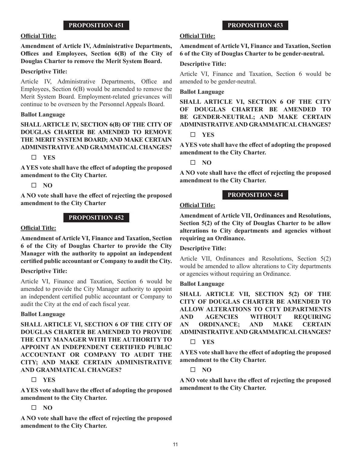#### **Official Title:**

## **Amendment of Article IV, Administrative Departments, Offices and Employees, Section 6(B) of the City of Douglas Charter to remove the Merit System Board.**

#### **Descriptive Title:**

Article IV, Administrative Departments, Office and Employees, Section 6(B) would be amended to remove the Merit System Board. Employment-related grievances will continue to be overseen by the Personnel Appeals Board.

#### **Ballot Language**

# **SHALL ARTICLE IV, SECTION 6(B) OF THE CITY OF DOUGLAS CHARTER BE AMENDED TO REMOVE THE MERIT SYSTEM BOARD; AND MAKE CERTAIN ADMINISTRATIVE AND GRAMMATICAL CHANGES?**

## **YES**

**A YES vote shall have the effect of adopting the proposed amendment to the City Charter.**

 $\Box$  NO

**A NO vote shall have the effect of rejecting the proposed amendment to the City Charter**

#### **PROPOSITION 452**

#### **Official Title:**

**Amendment of Article VI, Finance and Taxation, Section 6 of the City of Douglas Charter to provide the City Manager with the authority to appoint an independent certified public accountant or Company to audit the City.**

#### **Descriptive Title:**

Article VI, Finance and Taxation, Section 6 would be amended to provide the City Manager authority to appoint an independent certified public accountant or Company to audit the City at the end of each fiscal year.

#### **Ballot Language**

**SHALL ARTICLE VI, SECTION 6 OF THE CITY OF DOUGLAS CHARTER BE AMENDED TO PROVIDE THE CITY MANAGER WITH THE AUTHORITY TO APPOINT AN INDEPENDENT CERTIFIED PUBLIC ACCOUNTANT OR COMPANY TO AUDIT THE CITY; AND MAKE CERTAIN ADMINISTRATIVE AND GRAMMATICAL CHANGES?** 

## **YES**

**A YES vote shall have the effect of adopting the proposed amendment to the City Charter.**

## **NO**

**A NO vote shall have the effect of rejecting the proposed amendment to the City Charter.**

## **Official Title:**

**Amendment of Article VI, Finance and Taxation, Section 6 of the City of Douglas Charter to be gender-neutral.**

**PROPOSITION 453**

#### **Descriptive Title:**

Article VI, Finance and Taxation, Section 6 would be amended to be gender-neutral.

#### **Ballot Language**

**SHALL ARTICLE VI, SECTION 6 OF THE CITY OF DOUGLAS CHARTER BE AMENDED TO BE GENDER-NEUTRAL; AND MAKE CERTAIN ADMINISTRATIVE AND GRAMMATICAL CHANGES?** 

## **YES**

**A YES vote shall have the effect of adopting the proposed amendment to the City Charter.**

 $\Box$  NO

**A NO vote shall have the effect of rejecting the proposed amendment to the City Charter.**

## **PROPOSITION 454**

#### **Official Title:**

**Amendment of Article VII, Ordinances and Resolutions, Section 5(2) of the City of Douglas Charter to be allow alterations to City departments and agencies without requiring an Ordinance.**

#### **Descriptive Title:**

Article VII, Ordinances and Resolutions, Section 5(2) would be amended to allow alterations to City departments or agencies without requiring an Ordinance.

# **Ballot Language**

**SHALL ARTICLE VII, SECTION 5(2) OF THE CITY OF DOUGLAS CHARTER BE AMENDED TO ALLOW ALTERATIONS TO CITY DEPARTMENTS AND AGENCIES WITHOUT REQUIRING AN ORDINANCE; AND MAKE CERTAIN ADMINISTRATIVE AND GRAMMATICAL CHANGES?** 

**YES**

**A YES vote shall have the effect of adopting the proposed amendment to the City Charter.**

**NO**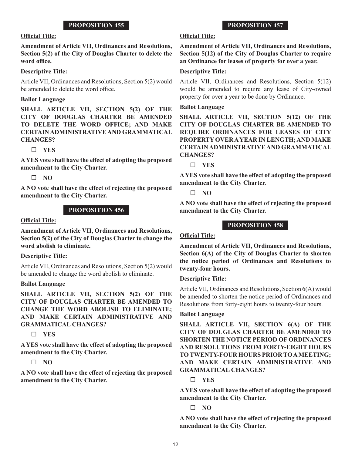#### **Official Title:**

**Amendment of Article VII, Ordinances and Resolutions, Section 5(2) of the City of Douglas Charter to delete the word office.**

#### **Descriptive Title:**

Article VII, Ordinances and Resolutions, Section 5(2) would be amended to delete the word office.

#### **Ballot Language**

**SHALL ARTICLE VII, SECTION 5(2) OF THE CITY OF DOUGLAS CHARTER BE AMENDED TO DELETE THE WORD OFFICE; AND MAKE CERTAIN ADMINISTRATIVE AND GRAMMATICAL CHANGES?** 

**YES**

**A YES vote shall have the effect of adopting the proposed amendment to the City Charter.**

**NO**

**A NO vote shall have the effect of rejecting the proposed amendment to the City Charter.**

## **PROPOSITION 456**

#### **Official Title:**

**Amendment of Article VII, Ordinances and Resolutions, Section 5(2) of the City of Douglas Charter to change the word abolish to eliminate.**

#### **Descriptive Title:**

Article VII, Ordinances and Resolutions, Section 5(2) would be amended to change the word abolish to eliminate.

#### **Ballot Language**

**SHALL ARTICLE VII, SECTION 5(2) OF THE CITY OF DOUGLAS CHARTER BE AMENDED TO CHANGE THE WORD ABOLISH TO ELIMINATE; AND MAKE CERTAIN ADMINISTRATIVE AND GRAMMATICAL CHANGES?** 

**YES**

**A YES vote shall have the effect of adopting the proposed amendment to the City Charter.**

**NO**

**A NO vote shall have the effect of rejecting the proposed amendment to the City Charter.**

#### **Official Title:**

**Amendment of Article VII, Ordinances and Resolutions, Section 5(12) of the City of Douglas Charter to require an Ordinance for leases of property for over a year.**

**PROPOSITION 457**

#### **Descriptive Title:**

Article VII, Ordinances and Resolutions, Section 5(12) would be amended to require any lease of City-owned property for over a year to be done by Ordinance.

#### **Ballot Language**

**SHALL ARTICLE VII, SECTION 5(12) OF THE CITY OF DOUGLAS CHARTER BE AMENDED TO REQUIRE ORDINANCES FOR LEASES OF CITY PROPERTY OVER A YEAR IN LENGTH; AND MAKE CERTAIN ADMINISTRATIVE AND GRAMMATICAL CHANGES?** 

**YES**

**A YES vote shall have the effect of adopting the proposed amendment to the City Charter.**

**NO**

**A NO vote shall have the effect of rejecting the proposed amendment to the City Charter.**

#### **PROPOSITION 458**

#### **Official Title:**

**Amendment of Article VII, Ordinances and Resolutions, Section 6(A) of the City of Douglas Charter to shorten the notice period of Ordinances and Resolutions to twenty-four hours.**

#### **Descriptive Title:**

Article VII, Ordinances and Resolutions, Section 6(A) would be amended to shorten the notice period of Ordinances and Resolutions from forty-eight hours to twenty-four hours.

#### **Ballot Language**

**SHALL ARTICLE VII, SECTION 6(A) OF THE CITY OF DOUGLAS CHARTER BE AMENDED TO SHORTEN THE NOTICE PERIOD OF ORDINANCES AND RESOLUTIONS FROM FORTY-EIGHT HOURS TO TWENTY-FOUR HOURS PRIOR TO A MEETING; AND MAKE CERTAIN ADMINISTRATIVE AND GRAMMATICAL CHANGES?** 

**YES**

**A YES vote shall have the effect of adopting the proposed amendment to the City Charter.**

**NO**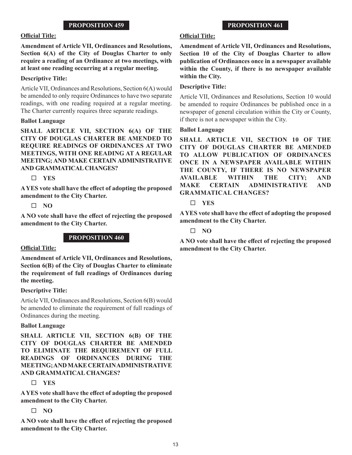#### **Official Title:**

## **Amendment of Article VII, Ordinances and Resolutions, Section 6(A) of the City of Douglas Charter to only require a reading of an Ordinance at two meetings, with at least one reading occurring at a regular meeting.**

## **Descriptive Title:**

Article VII, Ordinances and Resolutions, Section 6(A) would be amended to only require Ordinances to have two separate readings, with one reading required at a regular meeting. The Charter currently requires three separate readings.

#### **Ballot Language**

**SHALL ARTICLE VII, SECTION 6(A) OF THE CITY OF DOUGLAS CHARTER BE AMENDED TO REQUIRE READINGS OF ORDINANCES AT TWO MEETINGS, WITH ONE READING AT A REGULAR MEETING; AND MAKE CERTAIN ADMINISTRATIVE AND GRAMMATICAL CHANGES?** 

#### **YES**

**A YES vote shall have the effect of adopting the proposed amendment to the City Charter.**

#### **NO**

**A NO vote shall have the effect of rejecting the proposed amendment to the City Charter.**

## **PROPOSITION 460**

## **Official Title:**

**Amendment of Article VII, Ordinances and Resolutions, Section 6(B) of the City of Douglas Charter to eliminate the requirement of full readings of Ordinances during the meeting.**

## **Descriptive Title:**

Article VII, Ordinances and Resolutions, Section 6(B) would be amended to eliminate the requirement of full readings of Ordinances during the meeting.

#### **Ballot Language**

**SHALL ARTICLE VII, SECTION 6(B) OF THE CITY OF DOUGLAS CHARTER BE AMENDED TO ELIMINATE THE REQUIREMENT OF FULL READINGS OF ORDINANCES DURING THE MEETING; AND MAKE CERTAIN ADMINISTRATIVE AND GRAMMATICAL CHANGES?** 

## **YES**

**A YES vote shall have the effect of adopting the proposed amendment to the City Charter.**

## $\Box$  NO

**A NO vote shall have the effect of rejecting the proposed amendment to the City Charter.**

## **Official Title:**

**Amendment of Article VII, Ordinances and Resolutions, Section 10 of the City of Douglas Charter to allow publication of Ordinances once in a newspaper available within the County, if there is no newspaper available within the City.**

#### **Descriptive Title:**

Article VII, Ordinances and Resolutions, Section 10 would be amended to require Ordinances be published once in a newspaper of general circulation within the City or County, if there is not a newspaper within the City.

#### **Ballot Language**

**SHALL ARTICLE VII, SECTION 10 OF THE CITY OF DOUGLAS CHARTER BE AMENDED TO ALLOW PUBLICATION OF ORDINANCES ONCE IN A NEWSPAPER AVAILABLE WITHIN THE COUNTY, IF THERE IS NO NEWSPAPER AVAILABLE WITHIN THE CITY; AND MAKE CERTAIN ADMINISTRATIVE AND GRAMMATICAL CHANGES?** 

## **YES**

**A YES vote shall have the effect of adopting the proposed amendment to the City Charter.**

## **NO**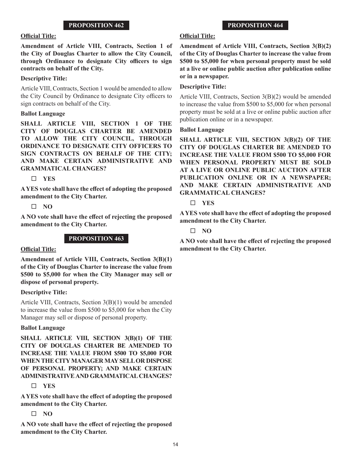# **Official Title:**

**Amendment of Article VIII, Contracts, Section 1 of the City of Douglas Charter to allow the City Council, through Ordinance to designate City officers to sign contracts on behalf of the City.**

# **Descriptive Title:**

Article VIII, Contracts, Section 1 would be amended to allow the City Council by Ordinance to designate City officers to sign contracts on behalf of the City.

## **Ballot Language**

**SHALL ARTICLE VIII, SECTION 1 OF THE CITY OF DOUGLAS CHARTER BE AMENDED TO ALLOW THE CITY COUNCIL, THROUGH ORDINANCE TO DESIGNATE CITY OFFICERS TO SIGN CONTRACTS ON BEHALF OF THE CITY; AND MAKE CERTAIN ADMINISTRATIVE AND GRAMMATICAL CHANGES?** 

**YES**

**A YES vote shall have the effect of adopting the proposed amendment to the City Charter.**

**NO**

**A NO vote shall have the effect of rejecting the proposed amendment to the City Charter.**

# **PROPOSITION 463**

# **Official Title:**

**Amendment of Article VIII, Contracts, Section 3(B)(1) of the City of Douglas Charter to increase the value from \$500 to \$5,000 for when the City Manager may sell or dispose of personal property.**

# **Descriptive Title:**

Article VIII, Contracts, Section 3(B)(1) would be amended to increase the value from \$500 to \$5,000 for when the City Manager may sell or dispose of personal property.

# **Ballot Language**

**SHALL ARTICLE VIII, SECTION 3(B)(1) OF THE CITY OF DOUGLAS CHARTER BE AMENDED TO INCREASE THE VALUE FROM \$500 TO \$5,000 FOR WHEN THE CITY MANAGER MAY SELL OR DISPOSE OF PERSONAL PROPERTY; AND MAKE CERTAIN ADMINISTRATIVE AND GRAMMATICAL CHANGES?** 

# **YES**

**A YES vote shall have the effect of adopting the proposed amendment to the City Charter.**

# **NO**

**A NO vote shall have the effect of rejecting the proposed amendment to the City Charter.**

# **PROPOSITION 464**

# **Official Title:**

**Amendment of Article VIII, Contracts, Section 3(B)(2) of the City of Douglas Charter to increase the value from \$500 to \$5,000 for when personal property must be sold at a live or online public auction after publication online or in a newspaper.**

# **Descriptive Title:**

Article VIII, Contracts, Section 3(B)(2) would be amended to increase the value from \$500 to \$5,000 for when personal property must be sold at a live or online public auction after publication online or in a newspaper.

## **Ballot Language**

**SHALL ARTICLE VIII, SECTION 3(B)(2) OF THE CITY OF DOUGLAS CHARTER BE AMENDED TO INCREASE THE VALUE FROM \$500 TO \$5,000 FOR WHEN PERSONAL PROPERTY MUST BE SOLD AT A LIVE OR ONLINE PUBLIC AUCTION AFTER PUBLICATION ONLINE OR IN A NEWSPAPER; AND MAKE CERTAIN ADMINISTRATIVE AND GRAMMATICAL CHANGES?** 

# **YES**

**A YES vote shall have the effect of adopting the proposed amendment to the City Charter.**

**NO**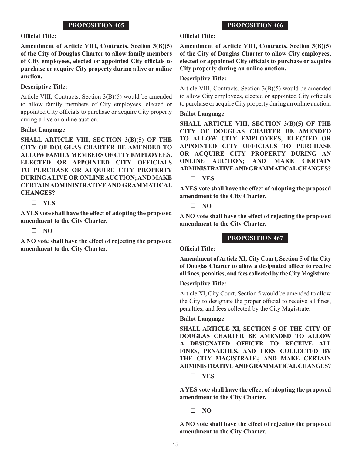#### **Official Title:**

**Amendment of Article VIII, Contracts, Section 3(B)(5) of the City of Douglas Charter to allow family members of City employees, elected or appointed City officials to purchase or acquire City property during a live or online auction.**

## **Descriptive Title:**

Article VIII, Contracts, Section 3(B)(5) would be amended to allow family members of City employees, elected or appointed City officials to purchase or acquire City property during a live or online auction.

## **Ballot Language**

**SHALL ARTICLE VIII, SECTION 3(B)(5) OF THE CITY OF DOUGLAS CHARTER BE AMENDED TO ALLOW FAMILY MEMBERS OF CITY EMPLOYEES, ELECTED OR APPOINTED CITY OFFICIALS TO PURCHASE OR ACQUIRE CITY PROPERTY DURING A LIVE OR ONLINE AUCTION; AND MAKE CERTAIN ADMINISTRATIVE AND GRAMMATICAL CHANGES?** 

**YES**

**A YES vote shall have the effect of adopting the proposed amendment to the City Charter.**

**NO**

**A NO vote shall have the effect of rejecting the proposed amendment to the City Charter.**

# **Official Title:**

**Amendment of Article VIII, Contracts, Section 3(B)(5) of the City of Douglas Charter to allow City employees, elected or appointed City officials to purchase or acquire City property during an online auction.**

**PROPOSITION 466**

#### **Descriptive Title:**

Article VIII, Contracts, Section 3(B)(5) would be amended to allow City employees, elected or appointed City officials to purchase or acquire City property during an online auction.

#### **Ballot Language**

**SHALL ARTICLE VIII, SECTION 3(B)(5) OF THE CITY OF DOUGLAS CHARTER BE AMENDED TO ALLOW CITY EMPLOYEES, ELECTED OR APPOINTED CITY OFFICIALS TO PURCHASE OR ACQUIRE CITY PROPERTY DURING AN ONLINE AUCTION; AND MAKE CERTAIN ADMINISTRATIVE AND GRAMMATICAL CHANGES?** 

**YES**

**A YES vote shall have the effect of adopting the proposed amendment to the City Charter.**

**NO**

**A NO vote shall have the effect of rejecting the proposed amendment to the City Charter.**

#### **PROPOSITION 467**

## **Official Title:**

**Amendment of Article XI, City Court, Section 5 of the City of Douglas Charter to allow a designated officer to receive all fines, penalties, and fees collected by the City Magistrate.**

**Descriptive Title:**

Article XI, City Court, Section 5 would be amended to allow the City to designate the proper official to receive all fines, penalties, and fees collected by the City Magistrate.

#### **Ballot Language**

**SHALL ARTICLE XI, SECTION 5 OF THE CITY OF DOUGLAS CHARTER BE AMENDED TO ALLOW A DESIGNATED OFFICER TO RECEIVE ALL FINES, PENALTIES, AND FEES COLLECTED BY THE CITY MAGISTRATE.; AND MAKE CERTAIN ADMINISTRATIVE AND GRAMMATICAL CHANGES?** 

**YES**

**A YES vote shall have the effect of adopting the proposed amendment to the City Charter.**

**NO**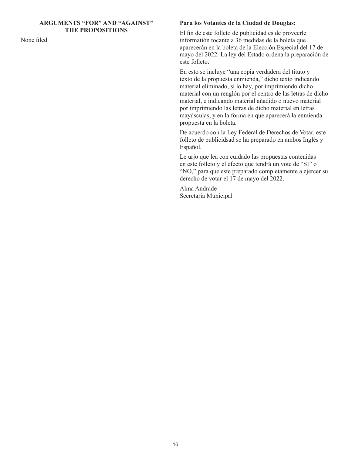## **ARGUMENTS "FOR" AND "AGAINST" THE PROPOSITIONS**

None filed

#### **Para los Votantes de la Ciudad de Douglas:**

El fin de este folleto de publicidad es de proveerle informatión tocante a 36 medidas de la boleta que aparecerán en la boleta de la Elección Especial del 17 de mayo del 2022. La ley del Estado ordena la preparación de este folleto.

En esto se incluye "una copia verdadera del tituto y texto de la propuesta enmienda," dicho texto indicando material eliminado, si lo hay, por imprimiendo dicho material con un renglón por el centro de las letras de dicho material, e indicando material añadido o nuevo material por imprimiendo las letras de dicho material en letras mayúsculas, y en la forma en que aparecerá la enmienda propuesta en la boleta.

De acuerdo con la Ley Federal de Derechos de Votar, este folleto de publicidsad se ha preparado en ambos Inglés y Español.

Le urjo que lea con cuidado las propuestas contenidas en este folleto y el efecto que tendrá un vote de "SI" o "NO," para que este preparado completamente a ejercer su derecho de votar el 17 de mayo del 2022.

Alma Andrade Secretaria Municipal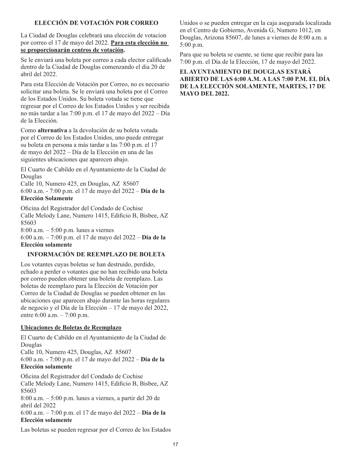# **ELECCIÓN DE VOTACIÓN POR CORREO**

La Ciudad de Douglas celebrará una elección de votacion por correo el 17 de mayo del 2022. **Para esta elección no se proporcionarán centros de votación.**

Se le enviará una boleta por correo a cada elector calificado dentro de la Ciudad de Douglas comenzando el dia 20 de abril del 2022.

Para esta Elección de Votación por Correo, no es necesario solicitar una boleta. Se le enviará una boleta por el Correo de los Estados Unidos. Su boleta votada se tiene que regresar por el Correo de los Estados Unidos y ser recibida no más tardar a las 7:00 p.m. el 17 de mayo del 2022 – Día de la Elección.

Como **alternativa** a la devolución de su boleta votada por el Correo de los Estados Unidos, uno puede entregar su boleta en persona a más tardar a las 7:00 p.m. el 17 de mayo del 2022 – Día de la Elección en una de las siguientes ubicaciones que aparecen abajo.

El Cuarto de Cabildo en el Ayuntamiento de la Ciudad de Douglas

Calle 10, Numero 425, en Douglas, AZ 85607 6:00 a.m. - 7:00 p.m. el 17 de mayo del 2022 – **Día de la Elección Solamente**

Oficina del Registrador del Condado de Cochise Calle Melody Lane, Numero 1415, Edificio B, Bisbee, AZ 85603

8:00 a.m. – 5:00 p.m. lunes a viernes

6:00 a.m. – 7:00 p.m. el 17 de mayo del 2022 – **Día de la Elección solamente**

# **INFORMACIÓN DE REEMPLAZO DE BOLETA**

Los votantes cuyas boletas se han destruido, perdido, echado a perder o votantes que no han recibido una boleta por correo pueden obtener una boleta de reemplazo. Las boletas de reemplazo para la Elección de Votación por Correo de la Ciudad de Douglas se pueden obtener en las ubicaciones que aparecen abajo durante las horas regulares de negocio y el Día de la Elección – 17 de mayo del 2022, entre 6:00 a.m. – 7:00 p.m.

## **Ubicaciones de Boletas de Reemplazo**

El Cuarto de Cabildo en el Ayuntamiento de la Ciudad de Douglas

Calle 10, Numero 425, Douglas, AZ 85607

6:00 a.m. - 7:00 p.m. el 17 de mayo del 2022 – **Día de la Elección solamente**

Oficina del Registrador del Condado de Cochise Calle Melody Lane, Numero 1415, Edificio B, Bisbee, AZ 85603

8:00 a.m. – 5:00 p.m. lunes a viernes, a partir del 20 de abril del 2022

6:00 a.m. – 7:00 p.m. el 17 de mayo del 2022 – **Día de la Elección solamente**

Las boletas se pueden regresar por el Correo de los Estados

Unidos o se pueden entregar en la caja asegurada localizada en el Centro de Gobierno, Avenida G, Numero 1012, en Douglas, Arizona 85607, de lunes a viernes de 8:00 a.m. a 5:00 p.m.

Para que su boleta se cuente, se tiene que recibir para las 7:00 p.m. el Día de la Elección, 17 de mayo del 2022.

**EL AYUNTAMIENTO DE DOUGLAS ESTARÁ ABIERTO DE LAS 6:00 A.M. A LAS 7:00 P.M. EL DÍA DE LA ELECCIÓN SOLAMENTE, MARTES, 17 DE MAYO DEL 2022.**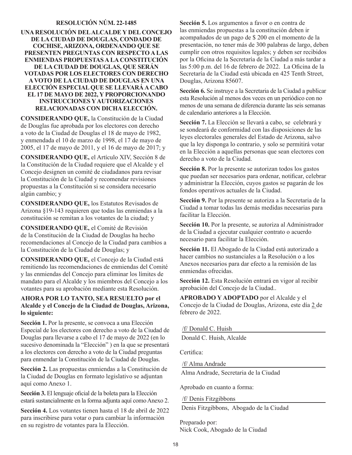# **RESOLUCIÓN NÚM. 22-1485**

#### **UNA RESOLUCIÓN DEL ALCALDE Y DEL CONCEJO DE LA CIUDAD DE DOUGLAS, CONDADO DE COCHISE, ARIZONA, ORDENANDO QUE SE PRESENTEN PREGUNTAS CON RESPECTO A LAS ENMIENDAS PROPUESTAS A LA CONSTITUCIÓN DE LA CIUDAD DE DOUGLAS, QUE SERÁN VOTADAS POR LOS ELECTORES CON DERECHO A VOTO DE LA CIUDAD DE DOUGLAS EN UNA ELECCIÓN ESPECIAL QUE SE LLEVARÁ A CABO EL 17 DE MAYO DE 2022, Y PROPORCIONANDO INSTRUCCIONES Y AUTORIZACIONES RELACIONADAS CON DICHA ELECCIÓN.**

**CONSIDERANDO QUE,** la Constitución de la Ciudad de Douglas fue aprobada por los electores con derecho a voto de la Ciudad de Douglas el 18 de mayo de 1982, y enmendada el 10 de marzo de 1998, el 17 de mayo de 2005, el 17 de mayo de 2011, y el 16 de mayo de 2017; y

**CONSIDERANDO QUE,** el Artículo XIV, Sección 8 de la Constitución de la Ciudad requiere que el Alcalde y el Concejo designen un comité de ciudadanos para revisar la Constitución de la Ciudad y recomendar revisiones propuestas a la Constitución si se considera necesario algún cambio; y

**CONSIDERANDO QUE,** los Estatutos Revisados de Arizona §19-143 requieren que todas las enmiendas a la constitución se remitan a los votantes de la ciudad; y

**CONSIDERANDO QUE,** el Comité de Revisión de la Constitución de la Ciudad de Douglas ha hecho recomendaciones al Concejo de la Ciudad para cambios a la Constitución de la Ciudad de Douglas; y

**CONSIDERANDO QUE,** el Concejo de la Ciudad está remitiendo las recomendaciones de enmiendas del Comité y las enmiendas del Concejo para eliminar los límites de mandato para el Alcalde y los miembros del Concejo a los votantes para su aprobación mediante esta Resolución.

## **AHORA POR LO TANTO, SEA RESUELTO por el Alcalde y el Concejo de la Ciudad de Douglas, Arizona, lo siguiente:**

Sección 1. Por la presente, se convoca a una Elección Especial de los electores con derecho a voto de la Ciudad de Douglas para llevarse a cabo el 17 de mayo de 2022 (en lo sucesivo denominada la "Elección" ) en la que se presentará a los electores con derecho a voto de la Ciudad preguntas para enmendar la Constitución de la Ciudad de Douglas.

**Sección 2.** Las propuestas enmiendas a la Constitución de la Ciudad de Douglas en formato legislativo se adjuntan aquí como Anexo 1.

**Sección 3.** El lenguaje oficial de la boleta para la Elección estará sustancialmente en la forma adjunta aquí como Anexo 2.

**Sección 4.** Los votantes tienen hasta el 18 de abril de 2022 para inscribirse para votar o para cambiar la información en su registro de votantes para la Elección.

**Sección 5.** Los argumentos a favor o en contra de las enmiendas propuestas a la constitución deben ir acompañados de un pago de \$ 200 en el momento de la presentación, no tener más de 300 palabras de largo, deben cumplir con otros requisitos legales; y deben ser recibidos por la Oficina de la Secretaría de la Ciudad a más tardar a las 5:00 p.m. del 16 de febrero de 2022. La Oficina de la Secretaría de la Ciudad está ubicada en 425 Tenth Street, Douglas, Arizona 85607.

**Sección 6.** Se instruye a la Secretaria de la Ciudad a publicar esta Resolución al menos dos veces en un periódico con no menos de una semana de diferencia durante las seis semanas de calendario anteriores a la Elección.

**Sección 7.** La Elección se llevará a cabo, se celebrará y se sondeará de conformidad con las disposiciones de las leyes electorales generales del Estado de Arizona, salvo que la ley disponga lo contrario, y solo se permitirá votar en la Elección a aquellas personas que sean electores con derecho a voto de la Ciudad.

**Sección 8.** Por la presente se autorizan todos los gastos que puedan ser necesarios para ordenar, notificar, celebrar y administrar la Elección, cuyos gastos se pagarán de los fondos operativos actuales de la Ciudad.

**Sección 9.** Por la presente se autoriza a la Secretaria de la Ciudad a tomar todas las demás medidas necesarias para facilitar la Elección.

**Sección 10.** Por la presente, se autoriza al Administrador de la Ciudad a ejecutar cualquier contrato o acuerdo necesario para facilitar la Elección.

**Sección 11.** El Abogado de la Ciudad está autorizado a hacer cambios no sustanciales a la Resolución o a los Anexos necesarios para dar efecto a la remisión de las enmiendas ofrecidas.

**Sección 12.** Esta Resolución entrará en vigor al recibir aprobación del Concejo de la Ciudad..

**APROBADO Y ADOPTADO** por el Alcalde y el Concejo de la Ciudad de Douglas, Arizona, este día 2 de febrero de 2022.

/f/ Donald C. Huish

Donald C. Huish, Alcalde

Certifica:

/f/ Alma Andrade

Alma Andrade, Secretaria de la Ciudad

Aprobado en cuanto a forma:

/f/ Denis Fitzgibbons

Denis Fitzgibbons, Abogado de la Ciudad

Preparado por: Nick Cook, Abogado de la Ciudad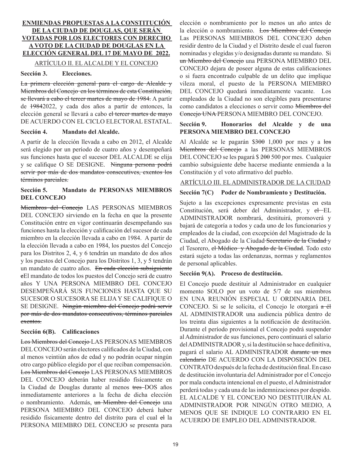# **ENMIENDAS PROPUESTAS A LA CONSTITUCIÓN DE LA CIUDAD DE DOUGLAS, QUE SERÁN VOTADAS POR LOS ELECTORES CON DERECHO A VOTO DE LA CIUDAD DE DOUGLAS EN LA ELECCIÓN GENERAL DEL 17 DE MAYO DE 2022.** ARTÍCULO II. EL ALCALDE Y EL CONCEJO

#### **Sección 3. Elecciones.**

La primera elección general para el cargo de Alcalde y Miembros del Concejo en los términos de esta Constitución, se llevará a cabo el tercer martes de mayo de 1984. A partir de 19842022, y cada dos años a partir de entonces, la elección general se llevará a cabo el tercer martes de mayo DE ACUERDO CON EL CICLO ELECTORAL ESTATAL.

#### **Sección 4. Mandato del Alcalde.**

A partir de la elección llevada a cabo en 2012, el Alcalde será elegido por un período de cuatro años y desempeñará sus funciones hasta que el sucesor DEL ALCALDE se elija y se califique O SE DESIGNE. Ninguna persona podrá servir por más de dos mandatos consecutives, exentos los términos parciales.

## **Sección 5. Mandato de PERSONAS MIEMBROS DEL CONCEJO**

Miembros del Concejo LAS PERSONAS MIEMBROS DEL CONCEJO sirviendo en la fecha en que la presente Constitución entre en vigor continuarán desempeñando sus funciones hasta la elección y calificación del sucesor de cada miembro en la elección llevada a cabo en 1984. A partir de la elección llevada a cabo en 1984, los puestos del Concejo para los Distritos 2, 4, y 6 tendrán un mandato de dos años y los puestos del Concejo para los Distritos 1, 3, y 5 tendrán un mandato de cuatro años. En cada elección subsiguiente eEl mandato de todos los puestos del Concejo será de cuatro años Y UNA PERSONA MIEMBRO DEL CONCEJO DESEMPEÑARÁ SUS FUNCIONES HASTA QUE SU SUCESOR O SUCESORA SE ELIJA Y SE CALIFIQUE O SE DESIGNE. Ningún miembro del Concejo podrá servir por más de dos mandatos consecutivos, términos parciales exentos.

# **Sección 6(B). Calificaciones**

Los Miembros del Concejo LAS PERSONAS MIEMBROS DEL CONCEJO serán electores calificados de la Ciudad, con al menos veintiún años de edad y no podrán ocupar ningún otro cargo público elegido por el que reciban compensación. Los Miembros del Concejo LAS PERSONAS MIEMBROS DEL CONCEJO deberán haber residido físicamente en la Ciudad de Douglas durante al menos tres DOS años inmediatamente anteriores a la fecha de dicha elección o nombramiento. Además, un Miembro del Concejo una PERSONA MIEMBRO DEL CONCEJO deberá haber residido físicamente dentro del distrito para el cual el la PERSONA MIEMBRO DEL CONCEJO se presenta para elección o nombramiento por lo menos un año antes de la elección o nombramiento. Los Miembros del Concejo Las PERSONAS MIEMBROS DEL CONCEJO deben residir dentro de la Ciudad y el Distrito desde el cual fueron nominadas y elegidas y/o designadas durante su mandato. Si un Miembro del Concejo una PERSONA MIEMBRO DEL CONCEJO dejara de poseer alguna de estas calificaciones o si fuera encontrado culpable de un delito que implique vileza moral, el puesto de la PERSONA MIEMBRO DEL CONCEJO quedará inmediatamente vacante. Los empleados de la Ciudad no son elegibles para presentarse como candidatos a elecciones o servir como Miembros del Concejo UNA PERSONA MIEMBRO DEL CONCEJO.

## **Sección 9. Honorarios del Alcalde y de una PERSONA MIEMBRO DEL CONCEJO**

Al Alcalde se le pagarán \$300 1,000 por mes y a los Miembros del Concejo a las PERSONAS MIEMBROS DEL CONCEJO se les pagará \$ 200 500 por mes. Cualquier cambio subsiguiente debe hacerse mediante enmienda a la Constitución y el voto afirmativo del pueblo.

## ARTÍCULO III. EL ADMINISTRADOR DE LA CIUDAD

## **Sección 7(C) Poder de Nombramiento y Destitución.**

Sujeto a las excepciones expresamente previstas en esta Constitución, será deber del Administrador, y el EL ADMINISTRADOR nombrará, destituirá, promoverá y bajará de categoría a todos y cada uno de los funcionarios y empleados de la ciudad, con excepción del Magistrado de la Ciudad, el Abogado de la Ciudad Secretario de la Ciudad y el Tesorero, e<del>l Médico y Abogado de la Ciudad</del>. Todo esto estará sujeto a todas las ordenanzas, normas y reglamentos de personal aplicables.

## **Sección 9(A). Proceso de destitución.**

El Concejo puede destituir al Administrador en cualquier momento SOLO por un voto de 5/7 de sus miembros EN UNA REUNIÓN ESPECIAL U ORDINARIA DEL CONCEJO. Si se le solicita, el Concejo le otorgará a él AL ADMINISTRADOR una audiencia pública dentro de los treinta días siguientes a la notificación de destitución. Durante el período provisional el Concejo podrá suspender al Administrador de sus funciones, pero continuará el salario del ADMINISTRADOR y, si la destitución se hace definitiva, pagará el salario AL ADMINISTRADOR durante un mes calendario DE ACUERDO CON LA DISPOSICIÓN DEL CONTRATO después de la fecha de destitución final. En caso de destitución involuntaria del Administrador por el Concejo por mala conducta intencional en el puesto, el Administrador perderá todas y cada una de las indemnizaciones por despido. EL ALCALDE Y EL CONCEJO NO DESTITUIRÁN AL ADMINISTRADOR POR NINGÚN OTRO MEDIO, A MENOS QUE SE INDIQUE LO CONTRARIO EN EL ACUERDO DE EMPLEO DEL ADMINISTRADOR.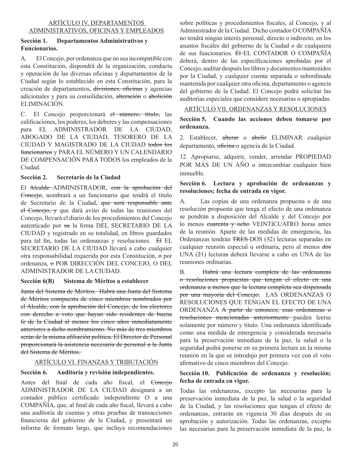## ARTÍCULO IV. DEPARTAMENTOS ADMINISTRATIVOS, OFICINAS Y EMPLEADOS

# **Sección 1. Departamentos Administrativos y Funcionarios.**

A. El Concejo, por ordenanza que no sea incompatible con esta Constitución, dispondrá de la organización, conducta y operación de las diversas oficinas y departamentos de la Ciudad según lo establecido en esta Constitución, para la creación de departamentos, divisiones, oficinas y agencias adicionales y para su consolidación, alteración o abolición ELIMINACIÓN.

C. El Concejo proporcionará el número, título, las calificaciones, los poderes, los deberes y las compensaciones para EL ADMINISTRADOR DE LA CIUDAD, ABOGADO DE LA CIUDAD, TESORERO DE LA CIUDAD Y MAGISTRADO DE LA CIUDAD todos los funcionarios y PARA EL NÚMERO Y UN CALENDARIO DE COMPENSACIÓN PARA TODOS los empleados de la Ciudad.

# **Sección 2. Secretario de la Ciudad**

El Alcalde-ADMINISTRADOR, con la aprobación del Concejo, nombrará a un funcionario que tendrá el título de Secretario de la Ciudad, que será responsable ante el Concejo, y que dará aviso de todas las reuniones del Concejo, llevará el diario de los procedimientos del Concejo autenticado por su la firma DEL SECRETARIO DE LA CIUDAD y registrado en su totalidad, en libros guardados para tal fin, todas las ordenanzas y resoluciones. Él EL SECRETARIO DE LA CIUDAD llevará a cabo cualquier otra responsabilidad requerida por esta Constitución, o por ordenanza, o POR DIRECCIÓN DEL CONCEJO, O DEL ADMINISTRADOR DE LA CIUDAD.

# **Sección 6(B) Sistema de Méritos a establecer**

Junta del Sistema de Méritos. Habrá una Junta del Sistema de Méritos compuesta de cinco miembros nombrados por el Alcalde, con la aprobación del Concejo, de los electores con derecho a voto que hayan sido residentes de buena fe de la Ciudad al menos los cinco años inmediatamente anteriores a dicho nombramiento. No más de tres miembros serán de la misma afiliación política. El Director de Personal proporcionará la asistencia necesaria de personal a la Junta del Sistema de Méritos.

# ARTÍCULO VI. FINANZAS Y TRIBUTACIÓN

# **Sección 6. Auditoría y revisión independientes.**

Antes del final de cada año fiscal, el Concejo ADMINISTRADOR DE LA CIUDAD designará a un contador público certificado independiente O a una COMPAÑÍA, que, al final de cada año fiscal, llevará a cabo una auditoría de cuentas y otras pruebas de transacciones financieras del gobierno de la Ciudad, y presentará un informe de formato largo, que incluya recomendaciones sobre políticas y procedimientos fiscales, al Concejo, y al Administrador de la Ciudad. Dicho contador O COMPAÑÍA no tendrá ningún interés personal, directo o indirecto, en los asuntos fiscales del gobierno de la Ciudad o de cualquiera de sus funcionarios. Électe CONTADOR O COMPAÑÍA deberá, dentro de las especificaciones aprobadas por el Concejo, auditar después los libros y documentos mantenidos por la Ciudad, y cualquier cuenta separada o subordinada mantenida por cualquier otra oficina, departamento o agencia del gobierno de la Ciudad. El Concejo podrá solicitar las auditorías especiales que considere necesarias o apropiadas.

# ARTÍCULO VII. ORDENANZAS Y RESOLUCIONES

# **Sección 5. Cuando las acciones deben tomarse por ordenanza.**

2. Establecer, alterar o abolir ELIMINAR cualquier departamento, oficina o agencia de la Ciudad.

12. Apropiarse, adquirir, vender, arrendar PROPIEDAD POR MÁS DE UN AÑO o intercambiar cualquier bien inmueble.

# **Sección 6. Lectura y aprobación de ordenanzas y resoluciones; fecha de entrada en vigor.**

A. Las copias de una ordenanza propuesta o de una resolución propuesta que tenga el efecto de una ordenanza se pondrán a disposición del Alcalde y del Concejo por lo menos cuarenta y ocho VEINTICUATRO horas antes de la reunión. Aparte de las medidas de emergencia, las Ordenanzas tendrán TRES DOS (32) lecturas separadas en cualquier reunión especial u ordinaria, pero al menos dos UNA (21) lecturas deberá llevarse a cabo en UNA de las reuniones ordinarias.

B. Habrá una lectura completa de las ordenanzas o resoluciones propuestas que tengan el efecto en una ordenanza a menos que la lectura completa sea dispensada por una mayoría del Concejo. LAS ORDENANZAS O RESOLUCIONES QUE TENGAN EL EFECTO DE UNA ORDENANZA A partir de entonces, esas ordenanzas o resoluciones mencionadas anteriormente pueden leerse solamente por número y título. Una ordenanza identificada como una medida de emergencia y considerada necesaria para la preservación inmediata de la paz, la salud o la seguridad podrá ponerse en su primera lectura en la misma reunión en la que se introdujo por primera vez con el voto afirmativo de cinco miembros del Concejo.

# **Sección 10. Publicación de ordenanza y resolución; fecha de entrada en vigor.**

Todas las ordenanzas, excepto las necesarias para la preservación inmediata de la paz, la salud o la seguridad de la Ciudad, y las resoluciones que tengan el efecto de ordenanzas, entrarán en vigencia 30 días después de su aprobación y autorización. Todas las ordenanzas, excepto las necesarias para la preservación inmediata de la paz, la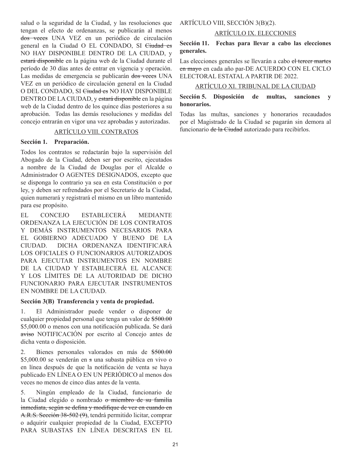salud o la seguridad de la Ciudad, y las resoluciones que tengan el efecto de ordenanzas, se publicarán al menos dos veces UNA VEZ en un periódico de circulación general en la Ciudad O EL CONDADO, SI Ciudad es NO HAY DISPONIBLE DENTRO DE LA CIUDAD, y estará disponible en la página web de la Ciudad durante el período de 30 días antes de entrar en vigencia y operación. Las medidas de emergencia se publicarán dos veces UNA VEZ en un periódico de circulación general en la Ciudad O DEL CONDADO, SI Ciudad es NO HAY DISPONIBLE DENTRO DE LA CIUDAD, y estará disponible en la página web de la Ciudad dentro de los quince días posteriores a su aprobación. Todas las demás resoluciones y medidas del concejo entrarán en vigor una vez aprobadas y autorizadas.

# ARTÍCULO VIII. CONTRATOS

## **Sección 1. Preparación.**

Todos los contratos se redactarán bajo la supervisión del Abogado de la Ciudad, deben ser por escrito, ejecutados a nombre de la Ciudad de Douglas por el Alcalde o Administrador O AGENTES DESIGNADOS, excepto que se disponga lo contrario ya sea en esta Constitución o por ley, y deben ser refrendados por el Secretario de la Ciudad, quien numerará y registrará el mismo en un libro mantenido para ese propósito.

EL CONCEJO ESTABLECERÁ MEDIANTE ORDENANZA LA EJECUCIÓN DE LOS CONTRATOS Y DEMÁS INSTRUMENTOS NECESARIOS PARA EL GOBIERNO ADECUADO Y BUENO DE LA CIUDAD. DICHA ORDENANZA IDENTIFICARÁ LOS OFICIALES O FUNCIONARIOS AUTORIZADOS PARA EJECUTAR INSTRUMENTOS EN NOMBRE DE LA CIUDAD Y ESTABLECERÁ EL ALCANCE Y LOS LÍMITES DE LA AUTORIDAD DE DICHO FUNCIONARIO PARA EJECUTAR INSTRUMENTOS EN NOMBRE DE LA CIUDAD.

#### **Sección 3(B) Transferencia y venta de propiedad.**

1. El Administrador puede vender o disponer de cualquier propiedad personal que tenga un valor de \$500.00 \$5,000.00 o menos con una notificación publicada. Se dará aviso NOTIFICACIÓN por escrito al Concejo antes de dicha venta o disposición.

2. Bienes personales valorados en más de \$500.00 \$5,000.00 se venderán en s una subasta pública en vivo o en línea después de que la notificación de venta se haya publicado EN LÍNEA O EN UN PERIÓDICO al menos dos veces no menos de cinco días antes de la venta.

5. Ningún empleado de la Ciudad, funcionario de la Ciudad elegido o nombrado o miembro de su familia inmediata, según se defina y modifique de vez en cuando en A.R.S. Sección 38-502 (9), tendrá permitido licitar, comprar o adquirir cualquier propiedad de la Ciudad, EXCEPTO PARA SUBASTAS EN LÍNEA DESCRITAS EN EL

ARTÍCULO VIII, SECCIÓN 3(B)(2).

# ARTÍCULO IX. ELECCIONES

# **Sección 11. Fechas para llevar a cabo las elecciones generales.**

Las elecciones generales se llevarán a cabo el tercer martes en mayo en cada año par-DE ACUERDO CON EL CICLO ELECTORAL ESTATAL A PARTIR DE 2022.

## ARTÍCULO XI. TRIBUNAL DE LA CIUDAD

## **Sección 5. Disposición de multas, sanciones y honorarios.**

Todas las multas, sanciones y honorarios recaudados por el Magistrado de la Ciudad se pagarán sin demora al funcionario de la Ciudad autorizado para recibirlos.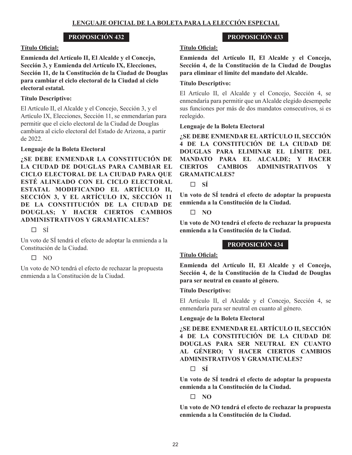## **Título Oficial:**

**Enmienda del Artículo II, El Alcalde y el Concejo, Sección 3, y Enmienda del Artículo IX, Elecciones, Sección 11, de la Constitución de la Ciudad de Douglas para cambiar el ciclo electoral de la Ciudad al ciclo electoral estatal.** 

# **Título Descriptivo:**

El Artículo II, el Alcalde y el Concejo, Sección 3, y el Artículo IX, Elecciones, Sección 11, se enmendarían para permitir que el ciclo electoral de la Ciudad de Douglas cambiara al ciclo electoral del Estado de Arizona, a partir de 2022.

## **Lenguaje de la Boleta Electoral**

**¿SE DEBE ENMENDAR LA CONSTITUCIÓN DE LA CIUDAD DE DOUGLAS PARA CAMBIAR EL CICLO ELECTORAL DE LA CIUDAD PARA QUE ESTÉ ALINEADO CON EL CICLO ELECTORAL ESTATAL MODIFICANDO EL ARTÍCULO II, SECCIÓN 3, Y EL ARTÍCULO IX, SECCIÓN 11 DE LA CONSTITUCIÓN DE LA CIUDAD DE DOUGLAS; Y HACER CIERTOS CAMBIOS ADMINISTRATIVOS Y GRAMATICALES?**

 $\square$  sí

Un voto de SÍ tendrá el efecto de adoptar la enmienda a la Constitución de la Ciudad.

# $\square$  NO

Un voto de NO tendrá el efecto de rechazar la propuesta enmienda a la Constitución de la Ciudad.

## **Título Oficial:**

**Enmienda del Artículo II, El Alcalde y el Concejo, Sección 4, de la Constitución de la Ciudad de Douglas para eliminar el límite del mandato del Alcalde.** 

**PROPOSICIÓN 433**

# **Título Descriptivo:**

El Artículo II, el Alcalde y el Concejo, Sección 4, se enmendaría para permitir que un Alcalde elegido desempeñe sus funciones por más de dos mandatos consecutivos, si es reelegido.

# **Lenguaje de la Boleta Electoral**

**¿SE DEBE ENMENDAR EL ARTÍCULO II, SECCIÓN 4 DE LA CONSTITUCIÓN DE LA CIUDAD DE DOUGLAS PARA ELIMINAR EL LÍMITE DEL MANDATO PARA EL ALCALDE; Y HACER CIERTOS CAMBIOS ADMINISTRATIVOS Y GRAMATICALES?** 

 $\Box$  **SÍ** 

**Un voto de SÍ tendrá el efecto de adoptar la propuesta enmienda a la Constitución de la Ciudad.**

**NO**

**Un voto de NO tendrá el efecto de rechazar la propuesta enmienda a la Constitución de la Ciudad.**

# **PROPOSICIÓN 434**

## **Título Oficial:**

**Enmienda del Artículo II, El Alcalde y el Concejo, Sección 4, de la Constitución de la Ciudad de Douglas para ser neutral en cuanto al género.**

## **Título Descriptivo:**

El Artículo II, el Alcalde y el Concejo, Sección 4, se enmendaría para ser neutral en cuanto al género.

## **Lenguaje de la Boleta Electoral**

**¿SE DEBE ENMENDAR EL ARTÍCULO II, SECCIÓN 4 DE LA CONSTITUCIÓN DE LA CIUDAD DE DOUGLAS PARA SER NEUTRAL EN CUANTO AL GÉNERO; Y HACER CIERTOS CAMBIOS ADMINISTRATIVOS Y GRAMATICALES?** 

# **SÍ**

**Un voto de SÍ tendrá el efecto de adoptar la propuesta enmienda a la Constitución de la Ciudad.**

 $\Box$  NO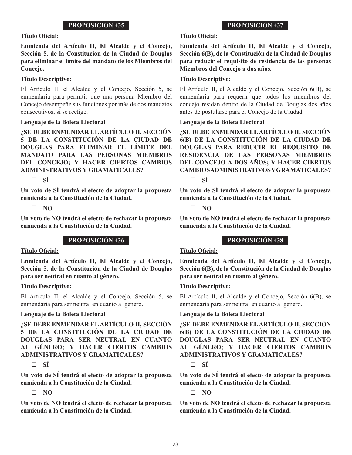## **Título Oficial:**

**Enmienda del Artículo II, El Alcalde y el Concejo, Sección 5, de la Constitución de la Ciudad de Douglas para eliminar el límite del mandato de los Miembros del Concejo.**

## **Título Descriptivo:**

El Artículo II, el Alcalde y el Concejo, Sección 5, se enmendaría para permitir que una persona Miembro del Concejo desempeñe sus funciones por más de dos mandatos consecutivos, si se reelige.

## **Lenguaje de la Boleta Electoral**

**¿SE DEBE ENMENDAR EL ARTÍCULO II, SECCIÓN 5 DE LA CONSTITUCIÓN DE LA CIUDAD DE DOUGLAS PARA ELIMINAR EL LÍMITE DEL MANDATO PARA LAS PERSONAS MIEMBROS DEL CONCEJO; Y HACER CIERTOS CAMBIOS ADMINISTRATIVOS Y GRAMATICALES?** 

 $\Box$  **SÍ** 

**Un voto de SÍ tendrá el efecto de adoptar la propuesta enmienda a la Constitución de la Ciudad.**

## **NO**

**Un voto de NO tendrá el efecto de rechazar la propuesta enmienda a la Constitución de la Ciudad.**

# **PROPOSICIÓN 436**

## **Título Oficial:**

**Enmienda del Artículo II, El Alcalde y el Concejo, Sección 5, de la Constitución de la Ciudad de Douglas para ser neutral en cuanto al género.**

## **Título Descriptivo:**

El Artículo II, el Alcalde y el Concejo, Sección 5, se enmendaría para ser neutral en cuanto al género.

## **Lenguaje de la Boleta Electoral**

**¿SE DEBE ENMENDAR EL ARTÍCULO II, SECCIÓN 5 DE LA CONSTITUCIÓN DE LA CIUDAD DE DOUGLAS PARA SER NEUTRAL EN CUANTO AL GÉNERO; Y HACER CIERTOS CAMBIOS ADMINISTRATIVOS Y GRAMATICALES?** 

# $\Box$  **SÍ**

**Un voto de SÍ tendrá el efecto de adoptar la propuesta enmienda a la Constitución de la Ciudad.**

**NO**

**Un voto de NO tendrá el efecto de rechazar la propuesta enmienda a la Constitución de la Ciudad.**

# **PROPOSICIÓN 437**

# **Título Oficial:**

**Enmienda del Artículo II, El Alcalde y el Concejo, Sección 6(B), de la Constitución de la Ciudad de Douglas para reducir el requisito de residencia de las personas Miembros del Concejo a dos años.** 

# **Título Descriptivo:**

El Artículo II, el Alcalde y el Concejo, Sección 6(B), se enmendaría para requerir que todos los miembros del concejo residan dentro de la Ciudad de Douglas dos años antes de postularse para el Concejo de la Ciudad.

## **Lenguaje de la Boleta Electoral**

**¿SE DEBE ENMENDAR EL ARTÍCULO II, SECCIÓN 6(B) DE LA CONSTITUCIÓN DE LA CIUDAD DE DOUGLAS PARA REDUCIR EL REQUISITO DE RESIDENCIA DE LAS PERSONAS MIEMBROS DEL CONCEJO A DOS AÑOS; Y HACER CIERTOS CAMBIOS ADMINISTRATIVOS Y GRAMATICALES?** 

 $\Box$  **SÍ** 

**Un voto de SÍ tendrá el efecto de adoptar la propuesta enmienda a la Constitución de la Ciudad.**

**NO**

**Un voto de NO tendrá el efecto de rechazar la propuesta enmienda a la Constitución de la Ciudad.**

# **PROPOSICIÓN 438**

# **Título Oficial:**

**Enmienda del Artículo II, El Alcalde y el Concejo, Sección 6(B), de la Constitución de la Ciudad de Douglas para ser neutral en cuanto al género.**

## **Título Descriptivo:**

El Artículo II, el Alcalde y el Concejo, Sección 6(B), se enmendaría para ser neutral en cuanto al género.

## **Lenguaje de la Boleta Electoral**

**¿SE DEBE ENMENDAR EL ARTÍCULO II, SECCIÓN 6(B) DE LA CONSTITUCIÓN DE LA CIUDAD DE DOUGLAS PARA SER NEUTRAL EN CUANTO AL GÉNERO; Y HACER CIERTOS CAMBIOS ADMINISTRATIVOS Y GRAMATICALES?** 

# **SÍ**

**Un voto de SÍ tendrá el efecto de adoptar la propuesta enmienda a la Constitución de la Ciudad.**

**NO**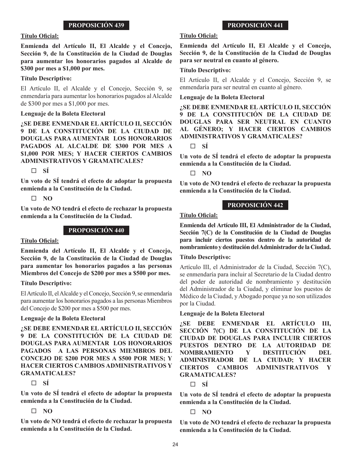## **Título Oficial:**

**Enmienda del Artículo II, El Alcalde y el Concejo, Sección 9, de la Constitución de la Ciudad de Douglas para aumentar los honorarios pagados al Alcalde de \$300 por mes a \$1,000 por mes.**

## **Título Descriptivo:**

El Artículo II, el Alcalde y el Concejo, Sección 9, se enmendaría para aumentar los honorarios pagados al Alcalde de \$300 por mes a \$1,000 por mes.

## **Lenguaje de la Boleta Electoral**

**¿SE DEBE ENMENDAR EL ARTÍCULO II, SECCIÓN 9 DE LA CONSTITUCIÓN DE LA CIUDAD DE DOUGLAS PARA AUMENTAR LOS HONORARIOS PAGADOS AL ALCALDE DE \$300 POR MES A \$1,000 POR MES; Y HACER CIERTOS CAMBIOS ADMINISTRATIVOS Y GRAMATICALES?** 

**SÍ**

**Un voto de SÍ tendrá el efecto de adoptar la propuesta enmienda a la Constitución de la Ciudad.**

# **NO**

**Un voto de NO tendrá el efecto de rechazar la propuesta enmienda a la Constitución de la Ciudad.**

# **PROPOSICIÓN 440**

## **Título Oficial:**

**Enmienda del Artículo II, El Alcalde y el Concejo, Sección 9, de la Constitución de la Ciudad de Douglas para aumentar los honorarios pagados a las personas Miembros del Concejo de \$200 por mes a \$500 por mes.**

## **Título Descriptivo:**

El Artículo II, el Alcalde y el Concejo, Sección 9, se enmendaría para aumentar los honorarios pagados a las personas Miembros del Concejo de \$200 por mes a \$500 por mes.

# **Lenguaje de la Boleta Electoral**

**¿SE DEBE ENMENDAR EL ARTÍCULO II, SECCIÓN 9 DE LA CONSTITUCIÓN DE LA CIUDAD DE DOUGLAS PARA AUMENTAR LOS HONORARIOS PAGADOS A LAS PERSONAS MIEMBROS DEL CONCEJO DE \$200 POR MES A \$500 POR MES; Y HACER CIERTOS CAMBIOS ADMINISTRATIVOS Y GRAMATICALES?** 

 $\Box$  **SÍ** 

**Un voto de SÍ tendrá el efecto de adoptar la propuesta enmienda a la Constitución de la Ciudad.**

# **NO**

**Un voto de NO tendrá el efecto de rechazar la propuesta enmienda a la Constitución de la Ciudad.**

# **PROPOSICIÓN 441**

## **Título Oficial:**

**Enmienda del Artículo II, El Alcalde y el Concejo, Sección 9, de la Constitución de la Ciudad de Douglas para ser neutral en cuanto al género.**

## **Título Descriptivo:**

El Artículo II, el Alcalde y el Concejo, Sección 9, se enmendaría para ser neutral en cuanto al género.

## **Lenguaje de la Boleta Electoral**

**¿SE DEBE ENMENDAR EL ARTÍCULO II, SECCIÓN 9 DE LA CONSTITUCIÓN DE LA CIUDAD DE DOUGLAS PARA SER NEUTRAL EN CUANTO AL GÉNERO; Y HACER CIERTOS CAMBIOS ADMINISTRATIVOS Y GRAMATICALES?** 

**SÍ**

**Un voto de SÍ tendrá el efecto de adoptar la propuesta enmienda a la Constitución de la Ciudad.**

**NO**

**Un voto de NO tendrá el efecto de rechazar la propuesta enmienda a la Constitución de la Ciudad.**

# **PROPOSICIÓN 442**

## **Título Oficial:**

**Enmienda del Artículo III, El Administrador de la Ciudad, Sección 7(C) de la Constitución de la Ciudad de Douglas para incluir ciertos puestos dentro de la autoridad de nombramiento y destitución del Administrador de la Ciudad.**

## **Título Descriptivo:**

Artículo III, el Administrador de la Ciudad, Sección 7(C), se enmendaría para incluir al Secretario de la Ciudad dentro del poder de autoridad de nombramiento y destitución del Administrador de la Ciudad, y eliminar los puestos de Médico de la Ciudad, y Abogado porque ya no son utilizados por la Ciudad.

# **Lenguaje de la Boleta Electoral**

**¿SE DEBE ENMENDAR EL ARTÍCULO III, SECCIÓN 7(C) DE LA CONSTITUCIÓN DE LA CIUDAD DE DOUGLAS PARA INCLUIR CIERTOS PUESTOS DENTRO DE LA AUTORIDAD DE NOMBRAMIENTO Y DESTITUCIÓN DEL ADMINISTRADOR DE LA CIUDAD; Y HACER CIERTOS CAMBIOS ADMINISTRATIVOS Y GRAMATICALES?** 

**SÍ**

**Un voto de SÍ tendrá el efecto de adoptar la propuesta enmienda a la Constitución de la Ciudad.**

 $\Box$  NO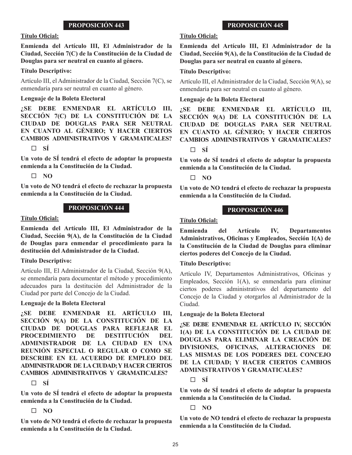#### **Título Oficial:**

**Enmienda del Artículo III, El Administrador de la Ciudad, Sección 7(C) de la Constitución de la Ciudad de Douglas para ser neutral en cuanto al género.**

#### **Título Descriptivo:**

Artículo III, el Administrador de la Ciudad, Sección 7(C), se enmendaría para ser neutral en cuanto al género.

#### **Lenguaje de la Boleta Electoral**

**¿SE DEBE ENMENDAR EL ARTÍCULO III, SECCIÓN 7(C) DE LA CONSTITUCIÓN DE LA CIUDAD DE DOUGLAS PARA SER NEUTRAL EN CUANTO AL GÉNERO; Y HACER CIERTOS CAMBIOS ADMINISTRATIVOS Y GRAMATICALES?** 

#### **SÍ**

**Un voto de SÍ tendrá el efecto de adoptar la propuesta enmienda a la Constitución de la Ciudad.**

#### $\Box$  NO

**Un voto de NO tendrá el efecto de rechazar la propuesta enmienda a la Constitución de la Ciudad.**

#### **PROPOSICIÓN 444**

#### **Título Oficial:**

**Enmienda del Artículo III, El Administrador de la Ciudad, Sección 9(A), de la Constitución de la Ciudad de Douglas para enmendar el procedimiento para la destitución del Administrador de la Ciudad.**

#### **Título Descriptivo:**

Artículo III, El Administrador de la Ciudad, Sección 9(A), se enmendaría para documentar el método y procedimiento adecuados para la destitución del Administrador de la Ciudad por parte del Concejo de la Ciudad.

#### **Lenguaje de la Boleta Electoral**

**¿SE DEBE ENMENDAR EL ARTÍCULO III, SECCIÓN 9(A) DE LA CONSTITUCIÓN DE LA CIUDAD DE DOUGLAS PARA REFLEJAR EL PROCEDIMIENTO DE DESTITUCIÓN DEL ADMINISTRADOR DE LA CIUDAD EN UNA REUNIÓN ESPECIAL O REGULAR O COMO SE DESCRIBE EN EL ACUERDO DE EMPLEO DEL ADMINISTRADOR DE LA CIUDAD; Y HACER CIERTOS CAMBIOS ADMINISTRATIVOS Y GRAMATICALES?** 

 $\Box$  **SÍ** 

**Un voto de SÍ tendrá el efecto de adoptar la propuesta enmienda a la Constitución de la Ciudad.**

## **NO**

**Un voto de NO tendrá el efecto de rechazar la propuesta enmienda a la Constitución de la Ciudad.**

# **PROPOSICIÓN 445**

## **Título Oficial:**

**Enmienda del Artículo III, El Administrador de la Ciudad, Sección 9(A), de la Constitución de la Ciudad de Douglas para ser neutral en cuanto al género.**

#### **Título Descriptivo:**

Artículo III, el Administrador de la Ciudad, Sección 9(A), se enmendaría para ser neutral en cuanto al género.

#### **Lenguaje de la Boleta Electoral**

**¿SE DEBE ENMENDAR EL ARTÍCULO III, SECCIÓN 9(A) DE LA CONSTITUCIÓN DE LA CIUDAD DE DOUGLAS PARA SER NEUTRAL EN CUANTO AL GÉNERO; Y HACER CIERTOS CAMBIOS ADMINISTRATIVOS Y GRAMATICALES?** 

**SÍ**

**Un voto de SÍ tendrá el efecto de adoptar la propuesta enmienda a la Constitución de la Ciudad.**

**NO**

**Un voto de NO tendrá el efecto de rechazar la propuesta enmienda a la Constitución de la Ciudad.**

#### **PROPOSICIÓN 446**

## **Título Oficial:**

**Enmienda del Artículo IV, Departamentos Administrativos, Oficinas y Empleados, Sección 1(A) de la Constitución de la Ciudad de Douglas para eliminar ciertos poderes del Concejo de la Ciudad.**

#### **Título Descriptivo:**

Artículo IV, Departamentos Administrativos, Oficinas y Empleados, Sección 1(A), se enmendaría para eliminar ciertos poderes administrativos del departamento del Concejo de la Ciudad y otorgarlos al Administrador de la Ciudad.

#### **Lenguaje de la Boleta Electoral**

**¿SE DEBE ENMENDAR EL ARTÍCULO IV, SECCIÓN 1(A) DE LA CONSTITUCIÓN DE LA CIUDAD DE DOUGLAS PARA ELIMINAR LA CREACIÓN DE DIVISIONES, OFICINAS, ALTERACIONES DE LAS MISMAS DE LOS PODERES DEL CONCEJO DE LA CIUDAD; Y HACER CIERTOS CAMBIOS ADMINISTRATIVOS Y GRAMATICALES?** 

**SÍ**

**Un voto de SÍ tendrá el efecto de adoptar la propuesta enmienda a la Constitución de la Ciudad.**

**NO**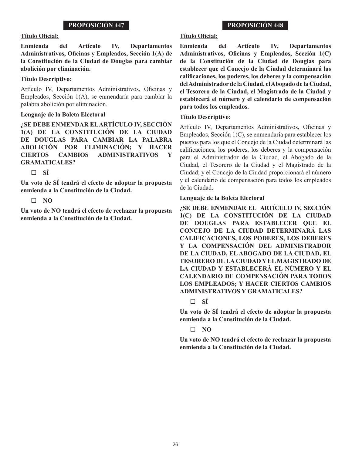## **Título Oficial:**

**Enmienda del Artículo IV, Departamentos Administrativos, Oficinas y Empleados, Sección 1(A) de la Constitución de la Ciudad de Douglas para cambiar abolición por eliminación.**

## **Título Descriptivo:**

Artículo IV, Departamentos Administrativos, Oficinas y Empleados, Sección 1(A), se enmendaría para cambiar la palabra abolición por eliminación.

## **Lenguaje de la Boleta Electoral**

**¿SE DEBE ENMENDAR EL ARTÍCULO IV, SECCIÓN 1(A) DE LA CONSTITUCIÓN DE LA CIUDAD DE DOUGLAS PARA CAMBIAR LA PALABRA ABOLICIÓN POR ELIMINACIÓN; Y HACER CIERTOS CAMBIOS ADMINISTRATIVOS Y GRAMATICALES?** 

**SÍ**

**Un voto de SÍ tendrá el efecto de adoptar la propuesta enmienda a la Constitución de la Ciudad.**

 $\Box$  NO

**Un voto de NO tendrá el efecto de rechazar la propuesta enmienda a la Constitución de la Ciudad.**

# **PROPOSICIÓN 448**

## **Título Oficial:**

**Enmienda del Artículo IV, Departamentos Administrativos, Oficinas y Empleados, Sección 1(C) de la Constitución de la Ciudad de Douglas para establecer que el Concejo de la Ciudad determinará las calificaciones, los poderes, los deberes y la compensación del Administrador de la Ciudad, el Abogado de la Ciudad, el Tesorero de la Ciudad, el Magistrado de la Ciudad y establecerá el número y el calendario de compensación para todos los empleados.** 

## **Título Descriptivo:**

Artículo IV, Departamentos Administrativos, Oficinas y Empleados, Sección 1(C), se enmendaría para establecer los puestos para los que el Concejo de la Ciudad determinará las calificaciones, los poderes, los deberes y la compensación para el Administrador de la Ciudad, el Abogado de la Ciudad, el Tesorero de la Ciudad y el Magistrado de la Ciudad; y el Concejo de la Ciudad proporcionará el número y el calendario de compensación para todos los empleados de la Ciudad.

## **Lenguaje de la Boleta Electoral**

**¿SE DEBE ENMENDAR EL ARTÍCULO IV, SECCIÓN 1(C) DE LA CONSTITUCIÓN DE LA CIUDAD DE DOUGLAS PARA ESTABLECER QUE EL CONCEJO DE LA CIUDAD DETERMINARÁ LAS CALIFICACIONES, LOS PODERES, LOS DEBERES Y LA COMPENSACIÓN DEL ADMINISTRADOR DE LA CIUDAD, EL ABOGADO DE LA CIUDAD, EL TESORERO DE LA CIUDAD Y EL MAGISTRADO DE LA CIUDAD Y ESTABLECERÁ EL NÚMERO Y EL CALENDARIO DE COMPENSACIÓN PARA TODOS LOS EMPLEADOS; Y HACER CIERTOS CAMBIOS ADMINISTRATIVOS Y GRAMATICALES?** 

# **SÍ**

**Un voto de SÍ tendrá el efecto de adoptar la propuesta enmienda a la Constitución de la Ciudad.**

# **NO**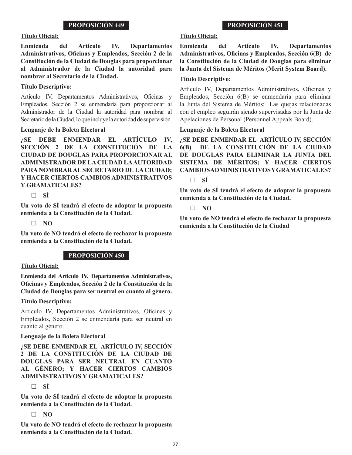## **Título Oficial:**

**Enmienda del Artículo IV, Departamentos Administrativos, Oficinas y Empleados, Sección 2 de la Constitución de la Ciudad de Douglas para proporcionar al Administrador de la Ciudad la autoridad para nombrar al Secretario de la Ciudad.**

## **Título Descriptivo:**

Artículo IV, Departamentos Administrativos, Oficinas y Empleados, Sección 2 se enmendaría para proporcionar al Administrador de la Ciudad la autoridad para nombrar al Secretario de la Ciudad, lo que incluye la autoridad de supervisión.

## **Lenguaje de la Boleta Electoral**

**¿SE DEBE ENMENDAR EL ARTÍCULO IV, SECCIÓN 2 DE LA CONSTITUCIÓN DE LA CIUDAD DE DOUGLAS PARA PROPORCIONAR AL ADMINISTRADOR DE LA CIUDAD LA AUTORIDAD PARA NOMBRAR AL SECRETARIO DE LA CIUDAD; Y HACER CIERTOS CAMBIOS ADMINISTRATIVOS Y GRAMATICALES?** 

**SÍ**

**Un voto de SÍ tendrá el efecto de adoptar la propuesta enmienda a la Constitución de la Ciudad.**

 $\Box$  NO

**Un voto de NO tendrá el efecto de rechazar la propuesta enmienda a la Constitución de la Ciudad.**

# **PROPOSICIÓN 450**

## **Título Oficial:**

**Enmienda del Artículo IV, Departamentos Administrativos, Oficinas y Empleados, Sección 2 de la Constitución de la Ciudad de Douglas para ser neutral en cuanto al género.**

## **Título Descriptivo:**

Artículo IV, Departamentos Administrativos, Oficinas y Empleados, Sección 2 se enmendaría para ser neutral en cuanto al género.

## **Lenguaje de la Boleta Electoral**

**¿SE DEBE ENMENDAR EL ARTÍCULO IV, SECCIÓN 2 DE LA CONSTITUCIÓN DE LA CIUDAD DE DOUGLAS PARA SER NEUTRAL EN CUANTO AL GÉNERO; Y HACER CIERTOS CAMBIOS ADMINISTRATIVOS Y GRAMATICALES?** 

**SÍ**

**Un voto de SÍ tendrá el efecto de adoptar la propuesta enmienda a la Constitución de la Ciudad.**

# **NO**

**Un voto de NO tendrá el efecto de rechazar la propuesta enmienda a la Constitución de la Ciudad.**

# **PROPOSICIÓN 451**

## **Título Oficial:**

**Enmienda del Artículo IV, Departamentos Administrativos, Oficinas y Empleados, Sección 6(B) de la Constitución de la Ciudad de Douglas para eliminar la Junta del Sistema de Méritos (Merit System Board).** 

## **Título Descriptivo:**

Artículo IV, Departamentos Administrativos, Oficinas y Empleados, Sección 6(B) se enmendaría para eliminar la Junta del Sistema de Méritos; Las quejas relacionadas con el empleo seguirán siendo supervisadas por la Junta de Apelaciones de Personal (Personnel Appeals Board).

## **Lenguaje de la Boleta Electoral**

**¿SE DEBE ENMENDAR EL ARTÍCULO IV, SECCIÓN 6(B) DE LA CONSTITUCIÓN DE LA CIUDAD DE DOUGLAS PARA ELIMINAR LA JUNTA DEL SISTEMA DE MÉRITOS; Y HACER CIERTOS CAMBIOS ADMINISTRATIVOS Y GRAMATICALES?** 

 $\Box$  **SÍ** 

**Un voto de SÍ tendrá el efecto de adoptar la propuesta enmienda a la Constitución de la Ciudad.**

**NO**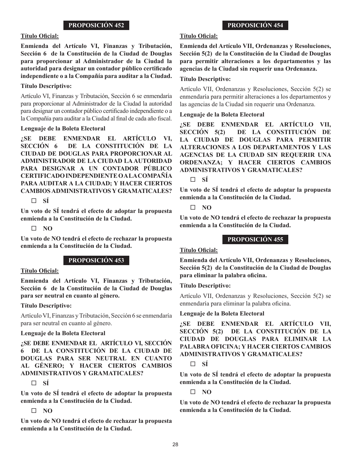#### **Título Oficial:**

**Enmienda del Artículo VI, Finanzas y Tributación, Sección 6 de la Constitución de la Ciudad de Douglas para proporcionar al Administrador de la Ciudad la autoridad para designar un contador público certificado independiente o a la Compañía para auditar a la Ciudad.**

#### **Título Descriptivo:**

Artículo VI, Finanzas y Tributación, Sección 6 se enmendaría para proporcionar al Administrador de la Ciudad la autoridad para designar un contador público certificado independiente o a la Compañía para auditar a la Ciudad al final de cada año fiscal.

#### **Lenguaje de la Boleta Electoral**

**¿SE DEBE ENMENDAR EL ARTÍCULO VI, SECCIÓN 6 DE LA CONSTITUCIÓN DE LA CIUDAD DE DOUGLAS PARA PROPORCIONAR AL ADMINISTRADOR DE LA CIUDAD LA AUTORIDAD PARA DESIGNAR A UN CONTADOR PÚBLICO CERTIFICADO INDEPENDIENTE O A LA COMPAÑÍA PARA AUDITAR A LA CIUDAD; Y HACER CIERTOS CAMBIOS ADMINISTRATIVOS Y GRAMATICALES?** 

 $\Box$  **SÍ** 

**Un voto de SÍ tendrá el efecto de adoptar la propuesta enmienda a la Constitución de la Ciudad.**

**NO**

**Un voto de NO tendrá el efecto de rechazar la propuesta enmienda a la Constitución de la Ciudad.**

# **PROPOSICIÓN 453**

#### **Título Oficial:**

**Enmienda del Artículo VI, Finanzas y Tributación, Sección 6 de la Constitución de la Ciudad de Douglas para ser neutral en cuanto al género.**

#### **Título Descriptivo:**

Artículo VI, Finanzas y Tributación, Sección 6 se enmendaría para ser neutral en cuanto al género.

#### **Lenguaje de la Boleta Electoral**

**¿SE DEBE ENMENDAR EL ARTÍCULO VI, SECCIÓN 6 DE LA CONSTITUCIÓN DE LA CIUDAD DE DOUGLAS PARA SER NEUTRAL EN CUANTO AL GÉNERO; Y HACER CIERTOS CAMBIOS ADMINISTRATIVOS Y GRAMATICALES?** 

 $\Box$  **SÍ** 

**Un voto de SÍ tendrá el efecto de adoptar la propuesta enmienda a la Constitución de la Ciudad.**

# **NO**

**Un voto de NO tendrá el efecto de rechazar la propuesta enmienda a la Constitución de la Ciudad.**

## **Título Oficial:**

**Enmienda del Artículo VII, Ordenanzas y Resoluciones, Sección 5(2) de la Constitución de la Ciudad de Douglas para permitir alteraciones a los departamentos y las agencias de la Ciudad sin requerir una Ordenanza.**

#### **Título Descriptivo:**

Artículo VII, Ordenanzas y Resoluciones, Sección 5(2) se enmendaría para permitir alteraciones a los departamentos y las agencias de la Ciudad sin requerir una Ordenanza.

#### **Lenguaje de la Boleta Electoral**

**¿SE DEBE ENMENDAR EL ARTÍCULO VII, SECCIÓN 5(2) DE LA CONSTITUCIÓN DE LA CIUDAD DE DOUGLAS PARA PERMITIR ALTERACIONES A LOS DEPARTAMENTOS Y LAS AGENCIAS DE LA CIUDAD SIN REQUERIR UNA ORDENANZA; Y HACER CIERTOS CAMBIOS ADMINISTRATIVOS Y GRAMATICALES?** 

 $\Box$  **SÍ** 

**Un voto de SÍ tendrá el efecto de adoptar la propuesta enmienda a la Constitución de la Ciudad.**

**NO**

**Un voto de NO tendrá el efecto de rechazar la propuesta enmienda a la Constitución de la Ciudad.**

#### **PROPOSICIÓN 455**

## **Título Oficial:**

**Enmienda del Artículo VII, Ordenanzas y Resoluciones, Sección 5(2) de la Constitución de la Ciudad de Douglas para eliminar la palabra oficina.**

#### **Título Descriptivo:**

Artículo VII, Ordenanzas y Resoluciones, Sección 5(2) se enmendaría para eliminar la palabra oficina.

#### **Lenguaje de la Boleta Electoral**

**¿SE DEBE ENMENDAR EL ARTÍCULO VII, SECCIÓN 5(2) DE LA CONSTITUCIÓN DE LA CIUDAD DE DOUGLAS PARA ELIMINAR LA PALABRA OFICINA; Y HACER CIERTOS CAMBIOS ADMINISTRATIVOS Y GRAMATICALES?** 

**SÍ**

**Un voto de SÍ tendrá el efecto de adoptar la propuesta enmienda a la Constitución de la Ciudad.**

**NO**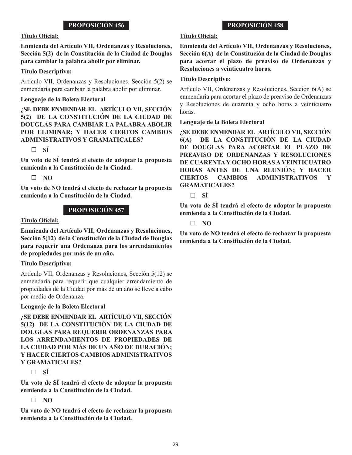#### **Título Oficial:**

**Enmienda del Artículo VII, Ordenanzas y Resoluciones, Sección 5(2) de la Constitución de la Ciudad de Douglas para cambiar la palabra abolir por eliminar.**

#### **Título Descriptivo:**

Artículo VII, Ordenanzas y Resoluciones, Sección 5(2) se enmendaría para cambiar la palabra abolir por eliminar.

#### **Lenguaje de la Boleta Electoral**

**¿SE DEBE ENMENDAR EL ARTÍCULO VII, SECCIÓN 5(2) DE LA CONSTITUCIÓN DE LA CIUDAD DE DOUGLAS PARA CAMBIAR LA PALABRA ABOLIR POR ELIMINAR; Y HACER CIERTOS CAMBIOS ADMINISTRATIVOS Y GRAMATICALES?** 

**SÍ**

**Un voto de SÍ tendrá el efecto de adoptar la propuesta enmienda a la Constitución de la Ciudad.**

**NO**

**Un voto de NO tendrá el efecto de rechazar la propuesta enmienda a la Constitución de la Ciudad.**

## **PROPOSICIÓN 457**

#### **Título Oficial:**

**Enmienda del Artículo VII, Ordenanzas y Resoluciones, Sección 5(12) de la Constitución de la Ciudad de Douglas para requerir una Ordenanza para los arrendamientos de propiedades por más de un año.**

## **Título Descriptivo:**

Artículo VII, Ordenanzas y Resoluciones, Sección 5(12) se enmendaría para requerir que cualquier arrendamiento de propiedades de la Ciudad por más de un año se lleve a cabo por medio de Ordenanza.

**Lenguaje de la Boleta Electoral**

**¿SE DEBE ENMENDAR EL ARTÍCULO VII, SECCIÓN 5(12) DE LA CONSTITUCIÓN DE LA CIUDAD DE DOUGLAS PARA REQUERIR ORDENANZAS PARA LOS ARRENDAMIENTOS DE PROPIEDADES DE LA CIUDAD POR MÁS DE UN AÑO DE DURACIÓN; Y HACER CIERTOS CAMBIOS ADMINISTRATIVOS Y GRAMATICALES?** 

 $\Box$  **SÍ** 

**Un voto de SÍ tendrá el efecto de adoptar la propuesta enmienda a la Constitución de la Ciudad.**

**NO**

**Un voto de NO tendrá el efecto de rechazar la propuesta enmienda a la Constitución de la Ciudad.**

# **PROPOSICIÓN 458**

# **Título Oficial:**

**Enmienda del Artículo VII, Ordenanzas y Resoluciones, Sección 6(A) de la Constitución de la Ciudad de Douglas para acortar el plazo de preaviso de Ordenanzas y Resoluciones a veinticuatro horas.**

#### **Título Descriptivo:**

Artículo VII, Ordenanzas y Resoluciones, Sección 6(A) se enmendaría para acortar el plazo de preaviso de Ordenanzas y Resoluciones de cuarenta y ocho horas a veinticuatro horas.

#### **Lenguaje de la Boleta Electoral**

**¿SE DEBE ENMENDAR EL ARTÍCULO VII, SECCIÓN 6(A) DE LA CONSTITUCIÓN DE LA CIUDAD DE DOUGLAS PARA ACORTAR EL PLAZO DE PREAVISO DE ORDENANZAS Y RESOLUCIONES DE CUARENTA Y OCHO HORAS A VEINTICUATRO HORAS ANTES DE UNA REUNIÓN; Y HACER CIERTOS CAMBIOS ADMINISTRATIVOS GRAMATICALES?** 

**SÍ**

**Un voto de SÍ tendrá el efecto de adoptar la propuesta enmienda a la Constitución de la Ciudad.**

## $\Box$  NO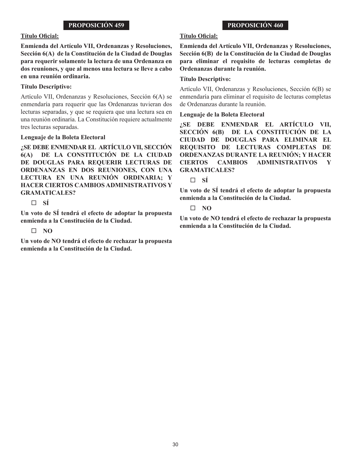#### **Título Oficial:**

**Enmienda del Artículo VII, Ordenanzas y Resoluciones, Sección 6(A) de la Constitución de la Ciudad de Douglas para requerir solamente la lectura de una Ordenanza en dos reuniones, y que al menos una lectura se lleve a cabo en una reunión ordinaria.**

#### **Título Descriptivo:**

Artículo VII, Ordenanzas y Resoluciones, Sección 6(A) se enmendaría para requerir que las Ordenanzas tuvieran dos lecturas separadas, y que se requiera que una lectura sea en una reunión ordinaria. La Constitución requiere actualmente tres lecturas separadas.

#### **Lenguaje de la Boleta Electoral**

**¿SE DEBE ENMENDAR EL ARTÍCULO VII, SECCIÓN 6(A) DE LA CONSTITUCIÓN DE LA CIUDAD DE DOUGLAS PARA REQUERIR LECTURAS DE ORDENANZAS EN DOS REUNIONES, CON UNA LECTURA EN UNA REUNIÓN ORDINARIA; Y HACER CIERTOS CAMBIOS ADMINISTRATIVOS Y GRAMATICALES?** 

**SÍ**

**Un voto de SÍ tendrá el efecto de adoptar la propuesta enmienda a la Constitución de la Ciudad.**

## **NO**

**Un voto de NO tendrá el efecto de rechazar la propuesta enmienda a la Constitución de la Ciudad.**

## **PROPOSICIÓN 460**

## **Título Oficial:**

**Enmienda del Artículo VII, Ordenanzas y Resoluciones, Sección 6(B) de la Constitución de la Ciudad de Douglas para eliminar el requisito de lecturas completas de Ordenanzas durante la reunión.**

#### **Título Descriptivo:**

Artículo VII, Ordenanzas y Resoluciones, Sección 6(B) se enmendaría para eliminar el requisito de lecturas completas de Ordenanzas durante la reunión.

#### **Lenguaje de la Boleta Electoral**

**¿SE DEBE ENMENDAR EL ARTÍCULO VII, SECCIÓN 6(B) DE LA CONSTITUCIÓN DE LA CIUDAD DE DOUGLAS PARA ELIMINAR EL REQUISITO DE LECTURAS COMPLETAS DE ORDENANZAS DURANTE LA REUNIÓN; Y HACER CIERTOS CAMBIOS ADMINISTRATIVOS Y GRAMATICALES?** 

 $\Box$  **SÍ** 

**Un voto de SÍ tendrá el efecto de adoptar la propuesta enmienda a la Constitución de la Ciudad.**

**NO**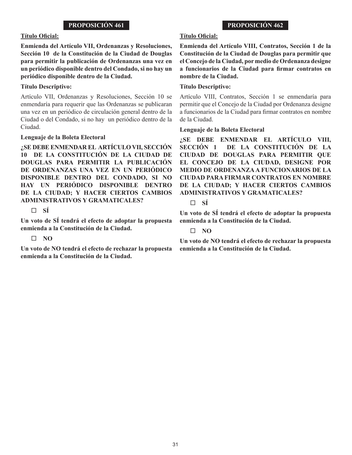#### **Título Oficial:**

**Enmienda del Artículo VII, Ordenanzas y Resoluciones, Sección 10 de la Constitución de la Ciudad de Douglas para permitir la publicación de Ordenanzas una vez en un periódico disponible dentro del Condado, si no hay un periódico disponible dentro de la Ciudad.**

#### **Título Descriptivo:**

Artículo VII, Ordenanzas y Resoluciones, Sección 10 se enmendaría para requerir que las Ordenanzas se publicaran una vez en un periódico de circulación general dentro de la Ciudad o del Condado, si no hay un periódico dentro de la Ciudad.

#### **Lenguaje de la Boleta Electoral**

**¿SE DEBE ENMENDAR EL ARTÍCULO VII, SECCIÓN 10 DE LA CONSTITUCIÓN DE LA CIUDAD DE DOUGLAS PARA PERMITIR LA PUBLICACIÓN DE ORDENANZAS UNA VEZ EN UN PERIÓDICO DISPONIBLE DENTRO DEL CONDADO, SI NO HAY UN PERIÓDICO DISPONIBLE DENTRO DE LA CIUDAD; Y HACER CIERTOS CAMBIOS ADMINISTRATIVOS Y GRAMATICALES?** 

 $\Box$  **SÍ** 

**Un voto de SÍ tendrá el efecto de adoptar la propuesta enmienda a la Constitución de la Ciudad.**

## $\Box$  NO

**Un voto de NO tendrá el efecto de rechazar la propuesta enmienda a la Constitución de la Ciudad.**

# **PROPOSICIÓN 462**

## **Título Oficial:**

**Enmienda del Artículo VIII, Contratos, Sección 1 de la Constitución de la Ciudad de Douglas para permitir que el Concejo de la Ciudad, por medio de Ordenanza designe a funcionarios de la Ciudad para firmar contratos en nombre de la Ciudad.**

## **Título Descriptivo:**

Artículo VIII, Contratos, Sección 1 se enmendaría para permitir que el Concejo de la Ciudad por Ordenanza designe a funcionarios de la Ciudad para firmar contratos en nombre de la Ciudad.

#### **Lenguaje de la Boleta Electoral**

**¿SE DEBE ENMENDAR EL ARTÍCULO VIII, SECCIÓN 1 DE LA CONSTITUCIÓN DE LA CIUDAD DE DOUGLAS PARA PERMITIR QUE EL CONCEJO DE LA CIUDAD, DESIGNE POR MEDIO DE ORDENANZA A FUNCIONARIOS DE LA CIUDAD PARA FIRMAR CONTRATOS EN NOMBRE DE LA CIUDAD; Y HACER CIERTOS CAMBIOS ADMINISTRATIVOS Y GRAMATICALES?** 

 $\Box$  **SÍ** 

**Un voto de SÍ tendrá el efecto de adoptar la propuesta enmienda a la Constitución de la Ciudad.**

## **NO**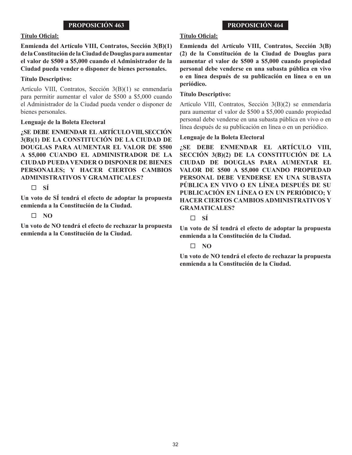#### **Título Oficial:**

## **Enmienda del Artículo VIII, Contratos, Sección 3(B)(1) de la Constitución de la Ciudad de Douglas para aumentar el valor de \$500 a \$5,000 cuando el Administrador de la Ciudad pueda vender o disponer de bienes personales.**

## **Título Descriptivo:**

Artículo VIII, Contratos, Sección 3(B)(1) se enmendaría para permitir aumentar el valor de \$500 a \$5,000 cuando el Administrador de la Ciudad pueda vender o disponer de bienes personales.

#### **Lenguaje de la Boleta Electoral**

**¿SE DEBE ENMENDAR EL ARTÍCULO VIII, SECCIÓN 3(B)(1) DE LA CONSTITUCIÓN DE LA CIUDAD DE DOUGLAS PARA AUMENTAR EL VALOR DE \$500 A \$5,000 CUANDO EL ADMINISTRADOR DE LA CIUDAD PUEDA VENDER O DISPONER DE BIENES PERSONALES; Y HACER CIERTOS CAMBIOS ADMINISTRATIVOS Y GRAMATICALES?** 

**SÍ**

**Un voto de SÍ tendrá el efecto de adoptar la propuesta enmienda a la Constitución de la Ciudad.**

**NO**

**Un voto de NO tendrá el efecto de rechazar la propuesta enmienda a la Constitución de la Ciudad.**

## **PROPOSICIÓN 464**

## **Título Oficial:**

**Enmienda del Artículo VIII, Contratos, Sección 3(B) (2) de la Constitución de la Ciudad de Douglas para aumentar el valor de \$500 a \$5,000 cuando propiedad personal debe venderse en una subasta pública en vivo o en línea después de su publicación en línea o en un periódico.**

#### **Título Descriptivo:**

Artículo VIII, Contratos, Sección 3(B)(2) se enmendaría para aumentar el valor de \$500 a \$5,000 cuando propiedad personal debe venderse en una subasta pública en vivo o en línea después de su publicación en línea o en un periódico.

#### **Lenguaje de la Boleta Electoral**

**¿SE DEBE ENMENDAR EL ARTÍCULO VIII, SECCIÓN 3(B)(2) DE LA CONSTITUCIÓN DE LA CIUDAD DE DOUGLAS PARA AUMENTAR EL VALOR DE \$500 A \$5,000 CUANDO PROPIEDAD PERSONAL DEBE VENDERSE EN UNA SUBASTA PÚBLICA EN VIVO O EN LÍNEA DESPUÉS DE SU PUBLICACIÓN EN LÍNEA O EN UN PERIÓDICO; Y HACER CIERTOS CAMBIOS ADMINISTRATIVOS Y GRAMATICALES?** 

**SÍ**

**Un voto de SÍ tendrá el efecto de adoptar la propuesta enmienda a la Constitución de la Ciudad.**

**NO**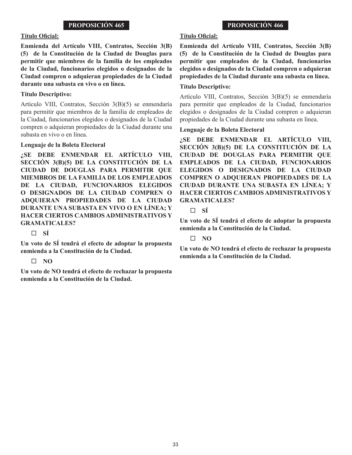#### **Título Oficial:**

**Enmienda del Artículo VIII, Contratos, Sección 3(B) (5) de la Constitución de la Ciudad de Douglas para permitir que miembros de la familia de los empleados de la Ciudad, funcionarios elegidos o designados de la Ciudad compren o adquieran propiedades de la Ciudad durante una subasta en vivo o en línea.** 

#### **Título Descriptivo:**

Artículo VIII, Contratos, Sección 3(B)(5) se enmendaría para permitir que miembros de la familia de empleados de la Ciudad, funcionarios elegidos o designados de la Ciudad compren o adquieran propiedades de la Ciudad durante una subasta en vivo o en línea.

#### **Lenguaje de la Boleta Electoral**

**¿SE DEBE ENMENDAR EL ARTÍCULO VIII, SECCIÓN 3(B)(5) DE LA CONSTITUCIÓN DE LA CIUDAD DE DOUGLAS PARA PERMITIR QUE MIEMBROS DE LA FAMILIA DE LOS EMPLEADOS DE LA CIUDAD, FUNCIONARIOS ELEGIDOS O DESIGNADOS DE LA CIUDAD COMPREN O ADQUIERAN PROPIEDADES DE LA CIUDAD DURANTE UNA SUBASTA EN VIVO O EN LÍNEA; Y HACER CIERTOS CAMBIOS ADMINISTRATIVOS Y GRAMATICALES?** 

**SÍ**

**Un voto de SÍ tendrá el efecto de adoptar la propuesta enmienda a la Constitución de la Ciudad.**

#### $\Box$  NO

**Un voto de NO tendrá el efecto de rechazar la propuesta enmienda a la Constitución de la Ciudad.**

## **PROPOSICIÓN 466**

## **Título Oficial:**

**Enmienda del Artículo VIII, Contratos, Sección 3(B) (5) de la Constitución de la Ciudad de Douglas para permitir que empleados de la Ciudad, funcionarios elegidos o designados de la Ciudad compren o adquieran propiedades de la Ciudad durante una subasta en línea.**

#### **Título Descriptivo:**

Artículo VIII, Contratos, Sección 3(B)(5) se enmendaría para permitir que empleados de la Ciudad, funcionarios elegidos o designados de la Ciudad compren o adquieran propiedades de la Ciudad durante una subasta en línea.

#### **Lenguaje de la Boleta Electoral**

**¿SE DEBE ENMENDAR EL ARTÍCULO VIII, SECCIÓN 3(B)(5) DE LA CONSTITUCIÓN DE LA CIUDAD DE DOUGLAS PARA PERMITIR QUE EMPLEADOS DE LA CIUDAD, FUNCIONARIOS ELEGIDOS O DESIGNADOS DE LA CIUDAD COMPREN O ADQUIERAN PROPIEDADES DE LA CIUDAD DURANTE UNA SUBASTA EN LÍNEA; Y HACER CIERTOS CAMBIOS ADMINISTRATIVOS Y GRAMATICALES?** 

**SÍ**

**Un voto de SÍ tendrá el efecto de adoptar la propuesta enmienda a la Constitución de la Ciudad.**

#### $\Box$  NO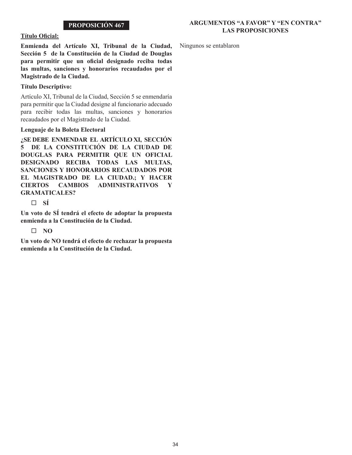# **ARGUMENTOS "A FAVOR" Y "EN CONTRA" LAS PROPOSICIONES**

#### **Título Oficial:**

**Enmienda del Artículo XI, Tribunal de la Ciudad, Sección 5 de la Constitución de la Ciudad de Douglas para permitir que un oficial designado reciba todas las multas, sanciones y honorarios recaudados por el Magistrado de la Ciudad.**

# **Título Descriptivo:**

Artículo XI, Tribunal de la Ciudad, Sección 5 se enmendaría para permitir que la Ciudad designe al funcionario adecuado para recibir todas las multas, sanciones y honorarios recaudados por el Magistrado de la Ciudad.

## **Lenguaje de la Boleta Electoral**

**¿SE DEBE ENMENDAR EL ARTÍCULO XI, SECCIÓN 5 DE LA CONSTITUCIÓN DE LA CIUDAD DE DOUGLAS PARA PERMITIR QUE UN OFICIAL DESIGNADO RECIBA TODAS LAS MULTAS, SANCIONES Y HONORARIOS RECAUDADOS POR EL MAGISTRADO DE LA CIUDAD.; Y HACER CIERTOS CAMBIOS ADMINISTRATIVOS Y GRAMATICALES?** 

 $\Box$  **SÍ** 

**Un voto de SÍ tendrá el efecto de adoptar la propuesta enmienda a la Constitución de la Ciudad.**

# **NO**

**Un voto de NO tendrá el efecto de rechazar la propuesta enmienda a la Constitución de la Ciudad.**

Ningunos se entablaron